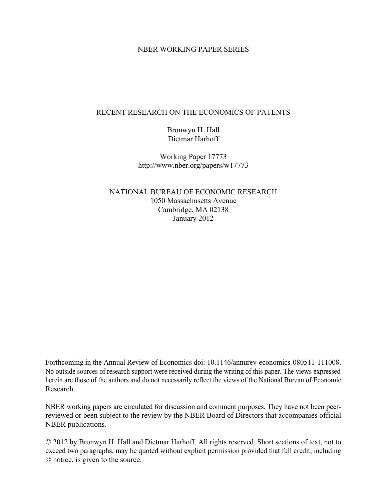### NBER WORKING PAPER SERIES

### RECENT RESEARCH ON THE ECONOMICS OF PATENTS

Bronwyn H. Hall Dietmar Harhoff

Working Paper 17773 http://www.nber.org/papers/w17773

NATIONAL BUREAU OF ECONOMIC RESEARCH 1050 Massachusetts Avenue Cambridge, MA 02138 January 2012

Forthcoming in the Annual Review of Economics doi: 10.1146/annurev-economics-080511-111008. No outside sources of research support were received during the writing of this paper. The views expressed herein are those of the authors and do not necessarily reflect the views of the National Bureau of Economic Research.

NBER working papers are circulated for discussion and comment purposes. They have not been peerreviewed or been subject to the review by the NBER Board of Directors that accompanies official NBER publications.

© 2012 by Bronwyn H. Hall and Dietmar Harhoff. All rights reserved. Short sections of text, not to exceed two paragraphs, may be quoted without explicit permission provided that full credit, including © notice, is given to the source.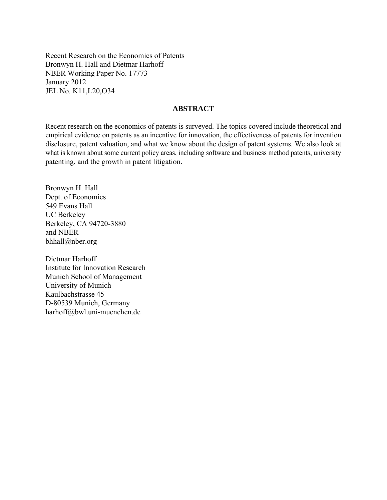Recent Research on the Economics of Patents Bronwyn H. Hall and Dietmar Harhoff NBER Working Paper No. 17773 January 2012 JEL No. K11,L20,O34

### **ABSTRACT**

Recent research on the economics of patents is surveyed. The topics covered include theoretical and empirical evidence on patents as an incentive for innovation, the effectiveness of patents for invention disclosure, patent valuation, and what we know about the design of patent systems. We also look at what is known about some current policy areas, including software and business method patents, university patenting, and the growth in patent litigation.

Bronwyn H. Hall Dept. of Economics 549 Evans Hall UC Berkeley Berkeley, CA 94720-3880 and NBER bhhall@nber.org

Dietmar Harhoff Institute for Innovation Research Munich School of Management University of Munich Kaulbachstrasse 45 D-80539 Munich, Germany harhoff@bwl.uni-muenchen.de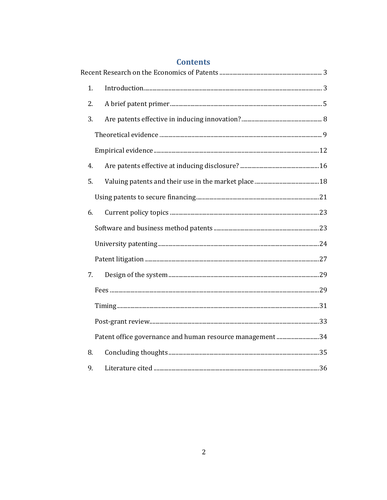| 1. |                                                           |     |
|----|-----------------------------------------------------------|-----|
| 2. |                                                           |     |
| 3. |                                                           |     |
|    |                                                           |     |
|    |                                                           |     |
| 4. |                                                           |     |
| 5. |                                                           |     |
|    |                                                           |     |
| 6. |                                                           |     |
|    |                                                           |     |
|    |                                                           |     |
|    |                                                           |     |
| 7. |                                                           |     |
|    |                                                           |     |
|    |                                                           |     |
|    |                                                           |     |
|    | Patent office governance and human resource management 34 |     |
| 8. |                                                           |     |
| 9. |                                                           | .36 |

# **Contents**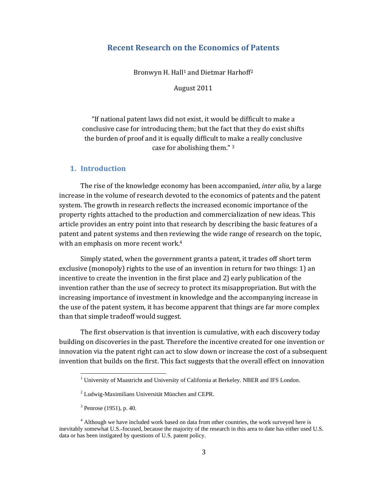## **Recent Research on the Economics of Patents**

Bronwyn H. Hall<sup>1</sup> and Dietmar Harhoff<sup>2</sup>

August 2011

"If national patent laws did not exist, it would be difficult to make a conclusive case for introducing them; but the fact that they do exist shifts the burden of proof and it is equally difficult to make a really conclusive case for abolishing them." 3

#### **1. Introduction**

The rise of the knowledge economy has been accompanied, *inter alia*, by a large increase in the volume of research devoted to the economics of patents and the patent system. The growth in research reflects the increased economic importance of the property rights attached to the production and commercialization of new ideas. This article provides an entry point into that research by describing the basic features of a patent and patent systems and then reviewing the wide range of research on the topic, with an emphasis on more recent work.4

Simply stated, when the government grants a patent, it trades off short term exclusive (monopoly) rights to the use of an invention in return for two things: 1) an incentive to create the invention in the first place and 2) early publication of the invention rather than the use of secrecy to protect its misappropriation. But with the increasing importance of investment in knowledge and the accompanying increase in the use of the patent system, it has become apparent that things are far more complex than that simple tradeoff would suggest.

The first observation is that invention is cumulative, with each discovery today building on discoveries in the past. Therefore the incentive created for one invention or innovation via the patent right can act to slow down or increase the cost of a subsequent invention that builds on the first. This fact suggests that the overall effect on innovation

<sup>&</sup>lt;sup>1</sup> University of Maastricht and University of California at Berkeley. NBER and IFS London.

<sup>&</sup>lt;sup>2</sup> Ludwig-Maximilians Universität München and CEPR.

 $3$  Penrose (1951), p. 40.

<sup>&</sup>lt;sup>4</sup> Although we have included work based on data from other countries, the work surveyed here is inevitably somewhat U.S.-focused, because the majority of the research in this area to date has either used U.S. data or has been instigated by questions of U.S. patent policy.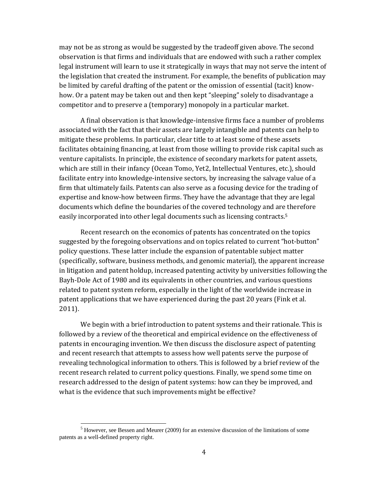may not be as strong as would be suggested by the tradeoff given above. The second observation is that firms and individuals that are endowed with such a rather complex legal instrument will learn to use it strategically in ways that may not serve the intent of the legislation that created the instrument. For example, the benefits of publication may be limited by careful drafting of the patent or the omission of essential (tacit) knowhow. Or a patent may be taken out and then kept "sleeping" solely to disadvantage a competitor and to preserve a (temporary) monopoly in a particular market.

A final observation is that knowledge‐intensive firms face a number of problems associated with the fact that their assets are largely intangible and patents can help to mitigate these problems. In particular, clear title to at least some of these assets facilitates obtaining financing, at least from those willing to provide risk capital such as venture capitalists. In principle, the existence of secondary markets for patent assets, which are still in their infancy (Ocean Tomo, Yet2, Intellectual Ventures, etc.), should facilitate entry into knowledge‐intensive sectors, by increasing the salvage value of a firm that ultimately fails. Patents can also serve as a focusing device for the trading of expertise and know-how between firms. They have the advantage that they are legal documents which define the boundaries of the covered technology and are therefore easily incorporated into other legal documents such as licensing contracts.5

Recent research on the economics of patents has concentrated on the topics suggested by the foregoing observations and on topics related to current "hot‐button" policy questions. These latter include the expansion of patentable subject matter (specifically, software, business methods, and genomic material), the apparent increase in litigation and patent holdup, increased patenting activity by universities following the Bayh‐Dole Act of 1980 and its equivalents in other countries, and various questions related to patent system reform, especially in the light of the worldwide increase in patent applications that we have experienced during the past 20 years (Fink et al. 2011).

We begin with a brief introduction to patent systems and their rationale. This is followed by a review of the theoretical and empirical evidence on the effectiveness of patents in encouraging invention. We then discuss the disclosure aspect of patenting and recent research that attempts to assess how well patents serve the purpose of revealing technological information to others. This is followed by a brief review of the recent research related to current policy questions. Finally, we spend some time on research addressed to the design of patent systems: how can they be improved, and what is the evidence that such improvements might be effective?

 $<sup>5</sup>$  However, see Bessen and Meurer (2009) for an extensive discussion of the limitations of some</sup> patents as a well-defined property right.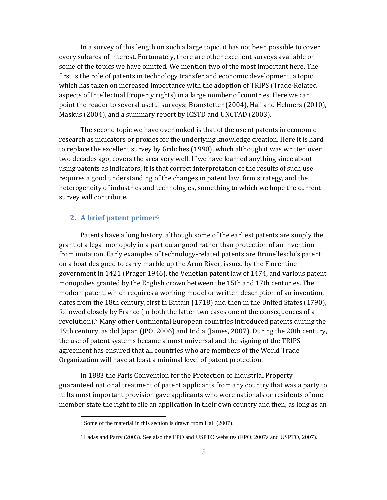In a survey of this length on such a large topic, it has not been possible to cover every subarea of interest. Fortunately, there are other excellent surveys available on some of the topics we have omitted. We mention two of the most important here. The first is the role of patents in technology transfer and economic development, a topic which has taken on increased importance with the adoption of TRIPS (Trade‐Related aspects of Intellectual Property rights) in a large number of countries. Here we can point the reader to several useful surveys: Branstetter (2004), Hall and Helmers (2010), Maskus (2004), and a summary report by ICSTD and UNCTAD (2003).

The second topic we have overlooked is that of the use of patents in economic research as indicators or proxies for the underlying knowledge creation. Here it is hard to replace the excellent survey by Griliches (1990), which although it was written over two decades ago, covers the area very well. If we have learned anything since about using patents as indicators, it is that correct interpretation of the results of such use requires a good understanding of the changes in patent law, firm strategy, and the heterogeneity of industries and technologies, something to which we hope the current survey will contribute.

### **2. A brief patent primer6**

Patents have a long history, although some of the earliest patents are simply the grant of a legal monopoly in a particular good rather than protection of an invention from imitation. Early examples of technology-related patents are Brunelleschi's patent on a boat designed to carry marble up the Arno River, issued by the Florentine government in 1421 (Prager 1946), the Venetian patent law of 1474, and various patent monopolies granted by the English crown between the 15th and 17th centuries. The modern patent, which requires a working model or written description of an invention, dates from the 18th century, first in Britain (1718) and then in the United States (1790), followed closely by France (in both the latter two cases one of the consequences of a revolution).7 Many other Continental European countries introduced patents during the 19th century, as did Japan (JPO, 2006) and India (James, 2007). During the 20th century, the use of patent systems became almost universal and the signing of the TRIPS agreement has ensured that all countries who are members of the World Trade Organization will have at least a minimal level of patent protection.

In 1883 the Paris Convention for the Protection of Industrial Property guaranteed national treatment of patent applicants from any country that was a party to it. Its most important provision gave applicants who were nationals or residents of one member state the right to file an application in their own country and then, as long as an

 $6$  Some of the material in this section is drawn from Hall (2007).

 $^7$  Ladas and Parry (2003). See also the EPO and USPTO websites (EPO, 2007a and USPTO, 2007).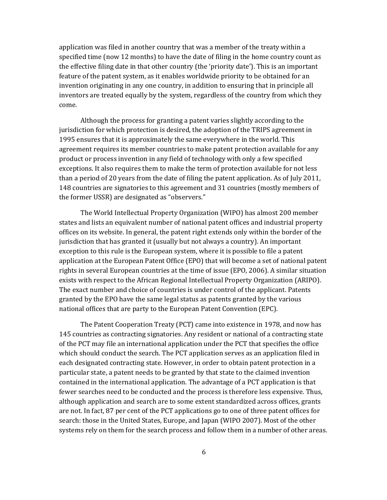application was filed in another country that was a member of the treaty within a specified time (now 12 months) to have the date of filing in the home country count as the effective filing date in that other country (the 'priority date'). This is an important feature of the patent system, as it enables worldwide priority to be obtained for an invention originating in any one country, in addition to ensuring that in principle all inventors are treated equally by the system, regardless of the country from which they come.

Although the process for granting a patent varies slightly according to the jurisdiction for which protection is desired, the adoption of the TRIPS agreement in 1995 ensures that it is approximately the same everywhere in the world. This agreement requires its member countries to make patent protection available for any product or process invention in any field of technology with only a few specified exceptions. It also requires them to make the term of protection available for not less than a period of 20 years from the date of filing the patent application. As of July 2011, 148 countries are signatories to this agreement and 31 countries (mostly members of the former USSR) are designated as "observers."

The World Intellectual Property Organization (WIPO) has almost 200 member states and lists an equivalent number of national patent offices and industrial property offices on its website. In general, the patent right extends only within the border of the jurisdiction that has granted it (usually but not always a country). An important exception to this rule is the European system, where it is possible to file a patent application at the European Patent Office (EPO) that will become a set of national patent rights in several European countries at the time of issue (EPO, 2006). A similar situation exists with respect to the African Regional Intellectual Property Organization (ARIPO). The exact number and choice of countries is under control of the applicant. Patents granted by the EPO have the same legal status as patents granted by the various national offices that are party to the European Patent Convention (EPC).

The Patent Cooperation Treaty (PCT) came into existence in 1978, and now has 145 countries as contracting signatories. Any resident or national of a contracting state of the PCT may file an international application under the PCT that specifies the office which should conduct the search. The PCT application serves as an application filed in each designated contracting state. However, in order to obtain patent protection in a particular state, a patent needs to be granted by that state to the claimed invention contained in the international application. The advantage of a PCT application is that fewer searches need to be conducted and the process is therefore less expensive. Thus, although application and search are to some extent standardized across offices, grants are not. In fact, 87 per cent of the PCT applications go to one of three patent offices for search: those in the United States, Europe, and Japan (WIPO 2007). Most of the other systems rely on them for the search process and follow them in a number of other areas.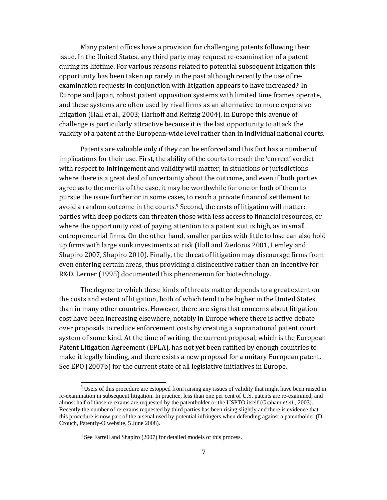Many patent offices have a provision for challenging patents following their issue. In the United States, any third party may request re‐examination of a patent during its lifetime. For various reasons related to potential subsequent litigation this opportunity has been taken up rarely in the past although recently the use of re‐ examination requests in conjunction with litigation appears to have increased.<sup>8</sup> In Europe and Japan, robust patent opposition systems with limited time frames operate, and these systems are often used by rival firms as an alternative to more expensive litigation (Hall et al., 2003; Harhoff and Reitzig 2004). In Europe this avenue of challenge is particularly attractive because it is the last opportunity to attack the validity of a patent at the European‐wide level rather than in individual national courts.

Patents are valuable only if they can be enforced and this fact has a number of implications for their use. First, the ability of the courts to reach the 'correct' verdict with respect to infringement and validity will matter; in situations or jurisdictions where there is a great deal of uncertainty about the outcome, and even if both parties agree as to the merits of the case, it may be worthwhile for one or both of them to pursue the issue further or in some cases, to reach a private financial settlement to avoid a random outcome in the courts. $9$  Second, the costs of litigation will matter: parties with deep pockets can threaten those with less access to financial resources, or where the opportunity cost of paying attention to a patent suit is high, as in small entrepreneurial firms. On the other hand, smaller parties with little to lose can also hold up firms with large sunk investments at risk (Hall and Ziedonis 2001, Lemley and Shapiro 2007, Shapiro 2010). Finally, the threat of litigation may discourage firms from even entering certain areas, thus providing a disincentive rather than an incentive for R&D. Lerner (1995) documented this phenomenon for biotechnology.

The degree to which these kinds of threats matter depends to a great extent on the costs and extent of litigation, both of which tend to be higher in the United States than in many other countries. However, there are signs that concerns about litigation cost have been increasing elsewhere, notably in Europe where there is active debate over proposals to reduce enforcement costs by creating a supranational patent court system of some kind. At the time of writing, the current proposal, which is the European Patent Litigation Agreement (EPLA), has not yet been ratified by enough countries to make it legally binding, and there exists a new proposal for a unitary European patent. See EPO (2007b) for the current state of all legislative initiatives in Europe.

<sup>&</sup>lt;sup>8</sup> Users of this procedure are estopped from raising any issues of validity that might have been raised in re-examination in subsequent litigation. In practice, less than one per cent of U.S. patents are re-examined, and almost half of those re-exams are requested by the patentholder or the USPTO itself (Graham *et al.,* 2003). Recently the number of re-exams requested by third parties has been rising slightly and there is evidence that this procedure is now part of the arsenal used by potential infringers when defending against a patentholder (D. Crouch, Patently-O website, 5 June 2008).

<sup>&</sup>lt;sup>9</sup> See Farrell and Shapiro (2007) for detailed models of this process.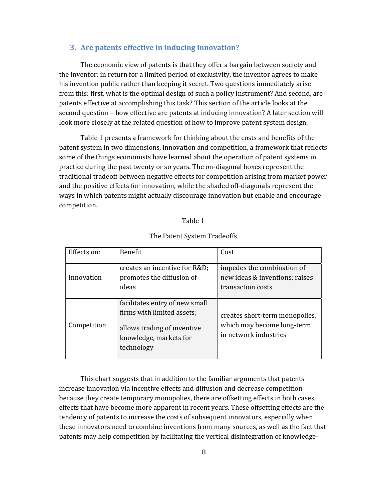#### **3. Are patents effective in inducing innovation?**

The economic view of patents is that they offer a bargain between society and the inventor: in return for a limited period of exclusivity, the inventor agrees to make his invention public rather than keeping it secret. Two questions immediately arise from this: first, what is the optimal design of such a policy instrument? And second, are patents effective at accomplishing this task? This section of the article looks at the second question – how effective are patents at inducing innovation? A later section will look more closely at the related question of how to improve patent system design.

Table 1 presents a framework for thinking about the costs and benefits of the patent system in two dimensions, innovation and competition, a framework that reflects some of the things economists have learned about the operation of patent systems in practice during the past twenty or so years. The on‐diagonal boxes represent the traditional tradeoff between negative effects for competition arising from market power and the positive effects for innovation, while the shaded off‐diagonals represent the ways in which patents might actually discourage innovation but enable and encourage competition.

#### Table 1

| Effects on: | <b>Benefit</b>                                                                                                                      | Cost                                                                                  |
|-------------|-------------------------------------------------------------------------------------------------------------------------------------|---------------------------------------------------------------------------------------|
| Innovation  | creates an incentive for R&D<br>promotes the diffusion of<br>ideas                                                                  | impedes the combination of<br>new ideas & inventions; raises<br>transaction costs     |
| Competition | facilitates entry of new small<br>firms with limited assets;<br>allows trading of inventive<br>knowledge, markets for<br>technology | creates short-term monopolies,<br>which may become long-term<br>in network industries |

#### The Patent System Tradeoffs

This chart suggests that in addition to the familiar arguments that patents increase innovation via incentive effects and diffusion and decrease competition because they create temporary monopolies, there are offsetting effects in both cases, effects that have become more apparent in recent years. These offsetting effects are the tendency of patents to increase the costs of subsequent innovators, especially when these innovators need to combine inventions from many sources, as well as the fact that patents may help competition by facilitating the vertical disintegration of knowledge‐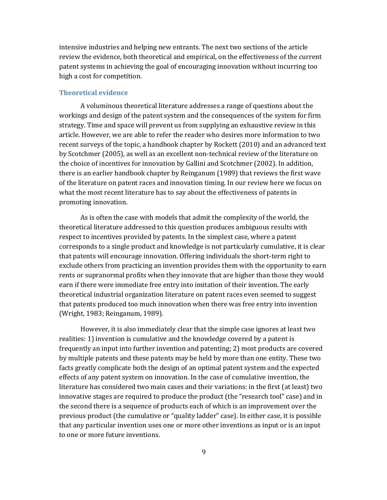intensive industries and helping new entrants. The next two sections of the article review the evidence, both theoretical and empirical, on the effectiveness of the current patent systems in achieving the goal of encouraging innovation without incurring too high a cost for competition.

#### **Theoretical evidence**

A voluminous theoretical literature addresses a range of questions about the workings and design of the patent system and the consequences of the system for firm strategy. Time and space will prevent us from supplying an exhaustive review in this article. However, we are able to refer the reader who desires more information to two recent surveys of the topic, a handbook chapter by Rockett (2010) and an advanced text by Scotchmer (2005), as well as an excellent non‐technical review of the literature on the choice of incentives for innovation by Gallini and Scotchmer (2002). In addition, there is an earlier handbook chapter by Reinganum (1989) that reviews the first wave of the literature on patent races and innovation timing. In our review here we focus on what the most recent literature has to say about the effectiveness of patents in promoting innovation.

As is often the case with models that admit the complexity of the world, the theoretical literature addressed to this question produces ambiguous results with respect to incentives provided by patents. In the simplest case, where a patent corresponds to a single product and knowledge is not particularly cumulative, it is clear that patents will encourage innovation. Offering individuals the short‐term right to exclude others from practicing an invention provides them with the opportunity to earn rents or supranormal profits when they innovate that are higher than those they would earn if there were immediate free entry into imitation of their invention. The early theoretical industrial organization literature on patent races even seemed to suggest that patents produced too much innovation when there was free entry into invention (Wright, 1983; Reinganum, 1989).

However, it is also immediately clear that the simple case ignores at least two realities: 1) invention is cumulative and the knowledge covered by a patent is frequently an input into further invention and patenting; 2) most products are covered by multiple patents and these patents may be held by more than one entity. These two facts greatly complicate both the design of an optimal patent system and the expected effects of any patent system on innovation. In the case of cumulative invention, the literature has considered two main cases and their variations: in the first (at least) two innovative stages are required to produce the product (the "research tool" case) and in the second there is a sequence of products each of which is an improvement over the previous product (the cumulative or "quality ladder" case). In either case, it is possible that any particular invention uses one or more other inventions as input or is an input to one or more future inventions.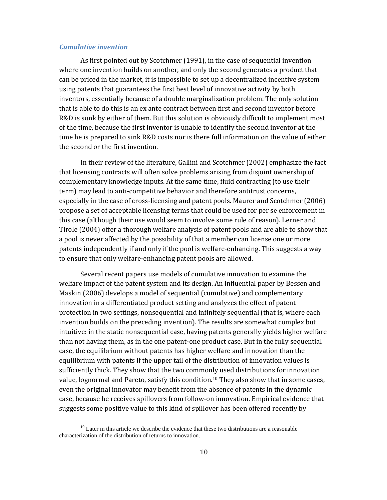### *Cumulative invention*

As first pointed out by Scotchmer (1991), in the case of sequential invention where one invention builds on another, and only the second generates a product that can be priced in the market, it is impossible to set up a decentralized incentive system using patents that guarantees the first best level of innovative activity by both inventors, essentially because of a double marginalization problem. The only solution that is able to do this is an ex ante contract between first and second inventor before R&D is sunk by either of them. But this solution is obviously difficult to implement most of the time, because the first inventor is unable to identify the second inventor at the time he is prepared to sink R&D costs nor is there full information on the value of either the second or the first invention.

In their review of the literature, Gallini and Scotchmer (2002) emphasize the fact that licensing contracts will often solve problems arising from disjoint ownership of complementary knowledge inputs. At the same time, fluid contracting (to use their term) may lead to anti‐competitive behavior and therefore antitrust concerns, especially in the case of cross‐licensing and patent pools. Maurer and Scotchmer (2006) propose a set of acceptable licensing terms that could be used for per se enforcement in this case (although their use would seem to involve some rule of reason). Lerner and Tirole (2004) offer a thorough welfare analysis of patent pools and are able to show that a pool is never affected by the possibility of that a member can license one or more patents independently if and only if the pool is welfare‐enhancing. This suggests a way to ensure that only welfare‐enhancing patent pools are allowed.

Several recent papers use models of cumulative innovation to examine the welfare impact of the patent system and its design. An influential paper by Bessen and Maskin (2006) develops a model of sequential (cumulative) and complementary innovation in a differentiated product setting and analyzes the effect of patent protection in two settings, nonsequential and infinitely sequential (that is, where each invention builds on the preceding invention). The results are somewhat complex but intuitive: in the static nonsequential case, having patents generally yields higher welfare than not having them, as in the one patent‐one product case. But in the fully sequential case, the equilibrium without patents has higher welfare and innovation than the equilibrium with patents if the upper tail of the distribution of innovation values is sufficiently thick. They show that the two commonly used distributions for innovation value, lognormal and Pareto, satisfy this condition.<sup>10</sup> They also show that in some cases, even the original innovator may benefit from the absence of patents in the dynamic case, because he receives spillovers from follow‐on innovation. Empirical evidence that suggests some positive value to this kind of spillover has been offered recently by

 $10<sup>10</sup>$  Later in this article we describe the evidence that these two distributions are a reasonable characterization of the distribution of returns to innovation.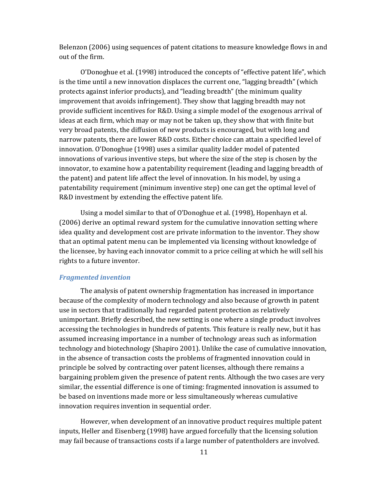Belenzon (2006) using sequences of patent citations to measure knowledge flows in and out of the firm.

O'Donoghue et al. (1998) introduced the concepts of "effective patent life", which is the time until a new innovation displaces the current one, "lagging breadth" (which protects against inferior products), and "leading breadth" (the minimum quality improvement that avoids infringement). They show that lagging breadth may not provide sufficient incentives for R&D. Using a simple model of the exogenous arrival of ideas at each firm, which may or may not be taken up, they show that with finite but very broad patents, the diffusion of new products is encouraged, but with long and narrow patents, there are lower R&D costs. Either choice can attain a specified level of innovation. O'Donoghue (1998) uses a similar quality ladder model of patented innovations of various inventive steps, but where the size of the step is chosen by the innovator, to examine how a patentability requirement (leading and lagging breadth of the patent) and patent life affect the level of innovation. In his model, by using a patentability requirement (minimum inventive step) one can get the optimal level of R&D investment by extending the effective patent life.

Using a model similar to that of O'Donoghue et al. (1998), Hopenhayn et al. (2006) derive an optimal reward system for the cumulative innovation setting where idea quality and development cost are private information to the inventor. They show that an optimal patent menu can be implemented via licensing without knowledge of the licensee, by having each innovator commit to a price ceiling at which he will sell his rights to a future inventor.

### *Fragmented invention*

The analysis of patent ownership fragmentation has increased in importance because of the complexity of modern technology and also because of growth in patent use in sectors that traditionally had regarded patent protection as relatively unimportant. Briefly described, the new setting is one where a single product involves accessing the technologies in hundreds of patents. This feature is really new, but it has assumed increasing importance in a number of technology areas such as information technology and biotechnology (Shapiro 2001). Unlike the case of cumulative innovation, in the absence of transaction costs the problems of fragmented innovation could in principle be solved by contracting over patent licenses, although there remains a bargaining problem given the presence of patent rents. Although the two cases are very similar, the essential difference is one of timing: fragmented innovation is assumed to be based on inventions made more or less simultaneously whereas cumulative innovation requires invention in sequential order.

However, when development of an innovative product requires multiple patent inputs, Heller and Eisenberg (1998) have argued forcefully that the licensing solution may fail because of transactions costs if a large number of patentholders are involved.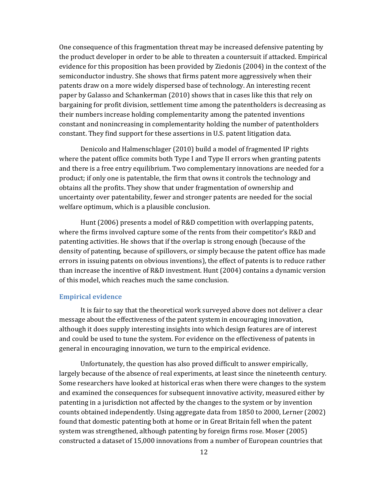One consequence of this fragmentation threat may be increased defensive patenting by the product developer in order to be able to threaten a countersuit if attacked. Empirical evidence for this proposition has been provided by Ziedonis (2004) in the context of the semiconductor industry. She shows that firms patent more aggressively when their patents draw on a more widely dispersed base of technology. An interesting recent paper by Galasso and Schankerman (2010) shows that in cases like this that rely on bargaining for profit division, settlement time among the patentholders is decreasing as their numbers increase holding complementarity among the patented inventions constant and nonincreasing in complementarity holding the number of patentholders constant. They find support for these assertions in U.S. patent litigation data.

Denicolo and Halmenschlager (2010) build a model of fragmented IP rights where the patent office commits both Type I and Type II errors when granting patents and there is a free entry equilibrium. Two complementary innovations are needed for a product; if only one is patentable, the firm that owns it controls the technology and obtains all the profits. They show that under fragmentation of ownership and uncertainty over patentability, fewer and stronger patents are needed for the social welfare optimum, which is a plausible conclusion.

Hunt (2006) presents a model of R&D competition with overlapping patents, where the firms involved capture some of the rents from their competitor's R&D and patenting activities. He shows that if the overlap is strong enough (because of the density of patenting, because of spillovers, or simply because the patent office has made errors in issuing patents on obvious inventions), the effect of patents is to reduce rather than increase the incentive of R&D investment. Hunt (2004) contains a dynamic version of this model, which reaches much the same conclusion.

#### **Empirical evidence**

It is fair to say that the theoretical work surveyed above does not deliver a clear message about the effectiveness of the patent system in encouraging innovation, although it does supply interesting insights into which design features are of interest and could be used to tune the system. For evidence on the effectiveness of patents in general in encouraging innovation, we turn to the empirical evidence.

Unfortunately, the question has also proved difficult to answer empirically, largely because of the absence of real experiments, at least since the nineteenth century. Some researchers have looked at historical eras when there were changes to the system and examined the consequences for subsequent innovative activity, measured either by patenting in a jurisdiction not affected by the changes to the system or by invention counts obtained independently. Using aggregate data from 1850 to 2000, Lerner (2002) found that domestic patenting both at home or in Great Britain fell when the patent system was strengthened, although patenting by foreign firms rose. Moser (2005) constructed a dataset of 15,000 innovations from a number of European countries that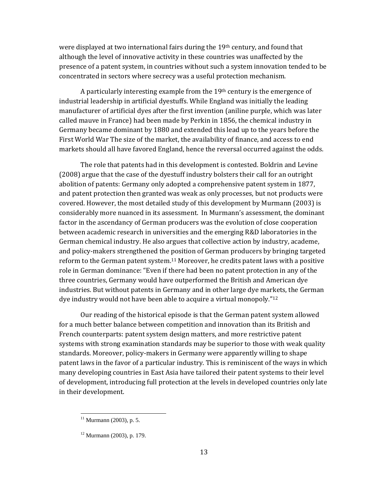were displayed at two international fairs during the  $19<sup>th</sup>$  century, and found that although the level of innovative activity in these countries was unaffected by the presence of a patent system, in countries without such a system innovation tended to be concentrated in sectors where secrecy was a useful protection mechanism.

A particularly interesting example from the 19th century is the emergence of industrial leadership in artificial dyestuffs. While England was initially the leading manufacturer of artificial dyes after the first invention (aniline purple, which was later called mauve in France) had been made by Perkin in 1856, the chemical industry in Germany became dominant by 1880 and extended this lead up to the years before the First World War The size of the market, the availability of finance, and access to end markets should all have favored England, hence the reversal occurred against the odds.

The role that patents had in this development is contested. Boldrin and Levine (2008) argue that the case of the dyestuff industry bolsters their call for an outright abolition of patents: Germany only adopted a comprehensive patent system in 1877, and patent protection then granted was weak as only processes, but not products were covered. However, the most detailed study of this development by Murmann (2003) is considerably more nuanced in its assessment. In Murmann's assessment, the dominant factor in the ascendancy of German producers was the evolution of close cooperation between academic research in universities and the emerging R&D laboratories in the German chemical industry. He also argues that collective action by industry, academe, and policy‐makers strengthened the position of German producers by bringing targeted reform to the German patent system.11 Moreover, he credits patent laws with a positive role in German dominance: "Even if there had been no patent protection in any of the three countries, Germany would have outperformed the British and American dye industries. But without patents in Germany and in other large dye markets, the German dye industry would not have been able to acquire a virtual monopoly."12

Our reading of the historical episode is that the German patent system allowed for a much better balance between competition and innovation than its British and French counterparts: patent system design matters, and more restrictive patent systems with strong examination standards may be superior to those with weak quality standards. Moreover, policy‐makers in Germany were apparently willing to shape patent laws in the favor of a particular industry. This is reminiscent of the ways in which many developing countries in East Asia have tailored their patent systems to their level of development, introducing full protection at the levels in developed countries only late in their development.

 $11$  Murmann (2003), p. 5.

 $12$  Murmann (2003), p. 179.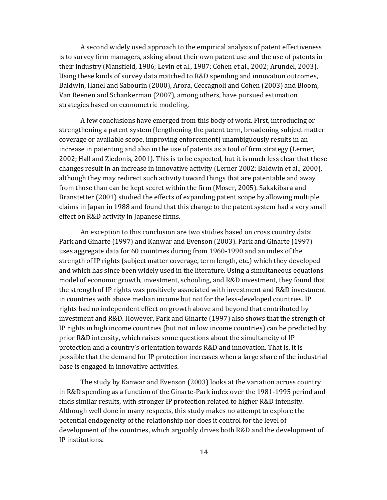A second widely used approach to the empirical analysis of patent effectiveness is to survey firm managers, asking about their own patent use and the use of patents in their industry (Mansfield, 1986; Levin et al., 1987; Cohen et al., 2002; Arundel, 2003). Using these kinds of survey data matched to R&D spending and innovation outcomes, Baldwin, Hanel and Sabourin (2000), Arora, Ceccagnoli and Cohen (2003) and Bloom, Van Reenen and Schankerman (2007), among others, have pursued estimation strategies based on econometric modeling.

A few conclusions have emerged from this body of work. First, introducing or strengthening a patent system (lengthening the patent term, broadening subject matter coverage or available scope, improving enforcement) unambiguously results in an increase in patenting and also in the use of patents as a tool of firm strategy (Lerner, 2002; Hall and Ziedonis, 2001). This is to be expected, but it is much less clear that these changes result in an increase in innovative activity (Lerner 2002; Baldwin et al., 2000), although they may redirect such activity toward things that are patentable and away from those than can be kept secret within the firm (Moser, 2005). Sakakibara and Branstetter (2001) studied the effects of expanding patent scope by allowing multiple claims in Japan in 1988 and found that this change to the patent system had a very small effect on R&D activity in Japanese firms.

An exception to this conclusion are two studies based on cross country data: Park and Ginarte (1997) and Kanwar and Evenson (2003). Park and Ginarte (1997) uses aggregate data for 60 countries during from 1960‐1990 and an index of the strength of IP rights (subject matter coverage, term length, etc.) which they developed and which has since been widely used in the literature. Using a simultaneous equations model of economic growth, investment, schooling, and R&D investment, they found that the strength of IP rights was positively associated with investment and R&D investment in countries with above median income but not for the less-developed countries. IP rights had no independent effect on growth above and beyond that contributed by investment and R&D. However, Park and Ginarte (1997) also shows that the strength of IP rights in high income countries (but not in low income countries) can be predicted by prior R&D intensity, which raises some questions about the simultaneity of IP protection and a country's orientation towards R&D and innovation. That is, it is possible that the demand for IP protection increases when a large share of the industrial base is engaged in innovative activities.

The study by Kanwar and Evenson (2003) looks at the variation across country in R&D spending as a function of the Ginarte‐Park index over the 1981‐1995 period and finds similar results, with stronger IP protection related to higher R&D intensity. Although well done in many respects, this study makes no attempt to explore the potential endogeneity of the relationship nor does it control for the level of development of the countries, which arguably drives both R&D and the development of IP institutions.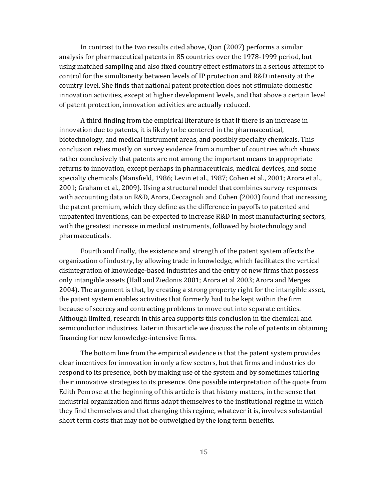In contrast to the two results cited above, Qian (2007) performs a similar analysis for pharmaceutical patents in 85 countries over the 1978‐1999 period, but using matched sampling and also fixed country effect estimators in a serious attempt to control for the simultaneity between levels of IP protection and R&D intensity at the country level. She finds that national patent protection does not stimulate domestic innovation activities, except at higher development levels, and that above a certain level of patent protection, innovation activities are actually reduced.

A third finding from the empirical literature is that if there is an increase in innovation due to patents, it is likely to be centered in the pharmaceutical, biotechnology, and medical instrument areas, and possibly specialty chemicals. This conclusion relies mostly on survey evidence from a number of countries which shows rather conclusively that patents are not among the important means to appropriate returns to innovation, except perhaps in pharmaceuticals, medical devices, and some specialty chemicals (Mansfield, 1986; Levin et al., 1987; Cohen et al., 2001; Arora et al., 2001; Graham et al., 2009). Using a structural model that combines survey responses with accounting data on R&D, Arora, Ceccagnoli and Cohen (2003) found that increasing the patent premium, which they define as the difference in payoffs to patented and unpatented inventions, can be expected to increase R&D in most manufacturing sectors, with the greatest increase in medical instruments, followed by biotechnology and pharmaceuticals.

Fourth and finally, the existence and strength of the patent system affects the organization of industry, by allowing trade in knowledge, which facilitates the vertical disintegration of knowledge‐based industries and the entry of new firms that possess only intangible assets (Hall and Ziedonis 2001; Arora et al 2003; Arora and Merges 2004). The argument is that, by creating a strong property right for the intangible asset, the patent system enables activities that formerly had to be kept within the firm because of secrecy and contracting problems to move out into separate entities. Although limited, research in this area supports this conclusion in the chemical and semiconductor industries. Later in this article we discuss the role of patents in obtaining financing for new knowledge‐intensive firms.

The bottom line from the empirical evidence is that the patent system provides clear incentives for innovation in only a few sectors, but that firms and industries do respond to its presence, both by making use of the system and by sometimes tailoring their innovative strategies to its presence. One possible interpretation of the quote from Edith Penrose at the beginning of this article is that history matters, in the sense that industrial organization and firms adapt themselves to the institutional regime in which they find themselves and that changing this regime, whatever it is, involves substantial short term costs that may not be outweighed by the long term benefits.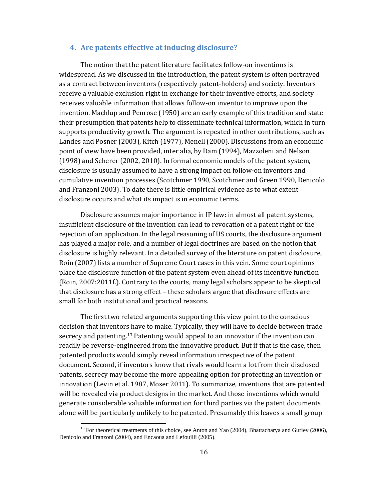### **4. Are patents effective at inducing disclosure?**

The notion that the patent literature facilitates follow‐on inventions is widespread. As we discussed in the introduction, the patent system is often portrayed as a contract between inventors (respectively patent‐holders) and society. Inventors receive a valuable exclusion right in exchange for their inventive efforts, and society receives valuable information that allows follow‐on inventor to improve upon the invention. Machlup and Penrose (1950) are an early example of this tradition and state their presumption that patents help to disseminate technical information, which in turn supports productivity growth. The argument is repeated in other contributions, such as Landes and Posner (2003), Kitch (1977), Menell (2000). Discussions from an economic point of view have been provided, inter alia, by Dam (1994), Mazzoleni and Nelson (1998) and Scherer (2002, 2010). In formal economic models of the patent system, disclosure is usually assumed to have a strong impact on follow‐on inventors and cumulative invention processes (Scotchmer 1990, Scotchmer and Green 1990, Denicolo and Franzoni 2003). To date there is little empirical evidence as to what extent disclosure occurs and what its impact is in economic terms.

Disclosure assumes major importance in IP law: in almost all patent systems, insufficient disclosure of the invention can lead to revocation of a patent right or the rejection of an application. In the legal reasoning of US courts, the disclosure argument has played a major role, and a number of legal doctrines are based on the notion that disclosure is highly relevant. In a detailed survey of the literature on patent disclosure, Roin (2007) lists a number of Supreme Court cases in this vein. Some court opinions place the disclosure function of the patent system even ahead of its incentive function (Roin, 2007:2011f.). Contrary to the courts, many legal scholars appear to be skeptical that disclosure has a strong effect – these scholars argue that disclosure effects are small for both institutional and practical reasons.

The first two related arguments supporting this view point to the conscious decision that inventors have to make. Typically, they will have to decide between trade secrecy and patenting.13 Patenting would appeal to an innovator if the invention can readily be reverse‐engineered from the innovative product. But if that is the case, then patented products would simply reveal information irrespective of the patent document. Second, if inventors know that rivals would learn a lot from their disclosed patents, secrecy may become the more appealing option for protecting an invention or innovation (Levin et al. 1987, Moser 2011). To summarize, inventions that are patented will be revealed via product designs in the market. And those inventions which would generate considerable valuable information for third parties via the patent documents alone will be particularly unlikely to be patented. Presumably this leaves a small group

<sup>&</sup>lt;sup>13</sup> For theoretical treatments of this choice, see Anton and Yao (2004), Bhattacharya and Guriev (2006), Denicolo and Franzoni (2004), and Encaoua and Lefouilli (2005).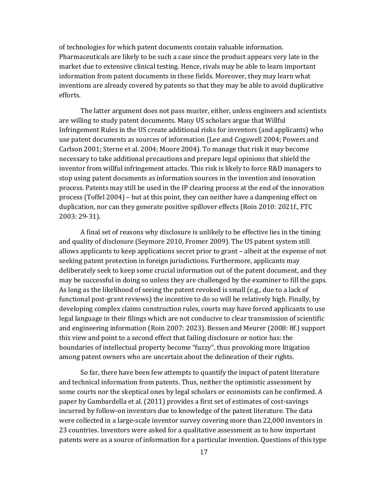of technologies for which patent documents contain valuable information. Pharmaceuticals are likely to be such a case since the product appears very late in the market due to extensive clinical testing. Hence, rivals may be able to learn important information from patent documents in these fields. Moreover, they may learn what inventions are already covered by patents so that they may be able to avoid duplicative efforts.

The latter argument does not pass muster, either, unless engineers and scientists are willing to study patent documents. Many US scholars argue that Willful Infringement Rules in the US create additional risks for inventors (and applicants) who use patent documents as sources of information (Lee and Cogswell 2004; Powers and Carlson 2001; Sterne et al. 2004; Moore 2004). To manage that risk it may become necessary to take additional precautions and prepare legal opinions that shield the inventor from willful infringement attacks. This risk is likely to force R&D managers to stop using patent documents as information sources in the invention and innovation process. Patents may still be used in the IP clearing process at the end of the innovation process (Toffel 2004) – but at this point, they can neither have a dampening effect on duplication, nor can they generate positive spillover effects (Roin 2010: 2021f., FTC 2003: 29‐31).

A final set of reasons why disclosure is unlikely to be effective lies in the timing and quality of disclosure (Seymore 2010, Fromer 2009). The US patent system still allows applicants to keep applications secret prior to grant – albeit at the expense of not seeking patent protection in foreign jurisdictions. Furthermore, applicants may deliberately seek to keep some crucial information out of the patent document, and they may be successful in doing so unless they are challenged by the examiner to fill the gaps. As long as the likelihood of seeing the patent revoked is small (e.g., due to a lack of functional post-grant reviews) the incentive to do so will be relatively high. Finally, by developing complex claims construction rules, courts may have forced applicants to use legal language in their filings which are not conducive to clear transmission of scientific and engineering information (Roin 2007: 2023). Bessen and Meurer (2008: 8f.) support this view and point to a second effect that failing disclosure or notice has: the boundaries of intellectual property become "fuzzy", thus provoking more litigation among patent owners who are uncertain about the delineation of their rights.

So far, there have been few attempts to quantify the impact of patent literature and technical information from patents. Thus, neither the optimistic assessment by some courts nor the skeptical ones by legal scholars or economists can be confirmed. A paper by Gambardella et al. (2011) provides a first set of estimates of cost‐savings incurred by follow‐on inventors due to knowledge of the patent literature. The data were collected in a large‐scale inventor survey covering more than 22,000 inventors in 23 countries. Inventors were asked for a qualitative assessment as to how important patents were as a source of information for a particular invention. Questions of this type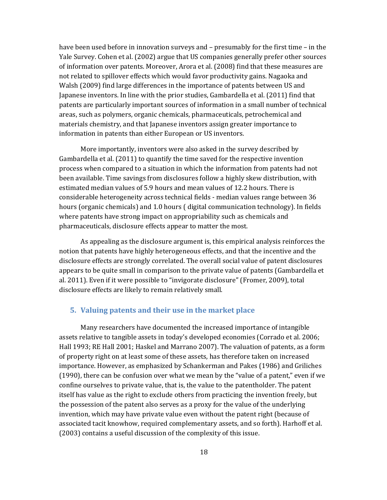have been used before in innovation surveys and – presumably for the first time – in the Yale Survey. Cohen et al. (2002) argue that US companies generally prefer other sources of information over patents. Moreover, Arora et al. (2008) find that these measures are not related to spillover effects which would favor productivity gains. Nagaoka and Walsh (2009) find large differences in the importance of patents between US and Japanese inventors. In line with the prior studies, Gambardella et al. (2011) find that patents are particularly important sources of information in a small number of technical areas, such as polymers, organic chemicals, pharmaceuticals, petrochemical and materials chemistry, and that Japanese inventors assign greater importance to information in patents than either European or US inventors.

More importantly, inventors were also asked in the survey described by Gambardella et al. (2011) to quantify the time saved for the respective invention process when compared to a situation in which the information from patents had not been available. Time savings from disclosures follow a highly skew distribution, with estimated median values of 5.9 hours and mean values of 12.2 hours. There is considerable heterogeneity across technical fields ‐ median values range between 36 hours (organic chemicals) and 1.0 hours ( digital communication technology). In fields where patents have strong impact on appropriability such as chemicals and pharmaceuticals, disclosure effects appear to matter the most.

As appealing as the disclosure argument is, this empirical analysis reinforces the notion that patents have highly heterogeneous effects, and that the incentive and the disclosure effects are strongly correlated. The overall social value of patent disclosures appears to be quite small in comparison to the private value of patents (Gambardella et al. 2011). Even if it were possible to "invigorate disclosure" (Fromer, 2009), total disclosure effects are likely to remain relatively small.

### **5. Valuing patents and their use in the market place**

Many researchers have documented the increased importance of intangible assets relative to tangible assets in today's developed economies (Corrado et al. 2006; Hall 1993; RE Hall 2001; Haskel and Marrano 2007). The valuation of patents, as a form of property right on at least some of these assets, has therefore taken on increased importance. However, as emphasized by Schankerman and Pakes (1986) and Griliches (1990), there can be confusion over what we mean by the "value of a patent," even if we confine ourselves to private value, that is, the value to the patentholder. The patent itself has value as the right to exclude others from practicing the invention freely, but the possession of the patent also serves as a proxy for the value of the underlying invention, which may have private value even without the patent right (because of associated tacit knowhow, required complementary assets, and so forth). Harhoff et al. (2003) contains a useful discussion of the complexity of this issue.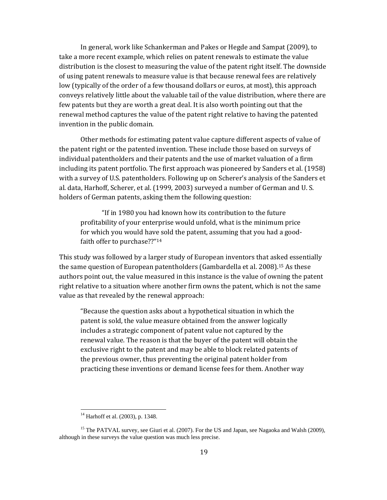In general, work like Schankerman and Pakes or Hegde and Sampat (2009), to take a more recent example, which relies on patent renewals to estimate the value distribution is the closest to measuring the value of the patent right itself. The downside of using patent renewals to measure value is that because renewal fees are relatively low (typically of the order of a few thousand dollars or euros, at most), this approach conveys relatively little about the valuable tail of the value distribution, where there are few patents but they are worth a great deal. It is also worth pointing out that the renewal method captures the value of the patent right relative to having the patented invention in the public domain.

Other methods for estimating patent value capture different aspects of value of the patent right or the patented invention. These include those based on surveys of individual patentholders and their patents and the use of market valuation of a firm including its patent portfolio. The first approach was pioneered by Sanders et al. (1958) with a survey of U.S. patentholders. Following up on Scherer's analysis of the Sanders et al. data, Harhoff, Scherer, et al. (1999, 2003) surveyed a number of German and U. S. holders of German patents, asking them the following question:

"If in 1980 you had known how its contribution to the future profitability of your enterprise would unfold, what is the minimum price for which you would have sold the patent, assuming that you had a good‐ faith offer to purchase??"14

This study was followed by a larger study of European inventors that asked essentially the same question of European patentholders (Gambardella et al. 2008).15 As these authors point out, the value measured in this instance is the value of owning the patent right relative to a situation where another firm owns the patent, which is not the same value as that revealed by the renewal approach:

"Because the question asks about a hypothetical situation in which the patent is sold, the value measure obtained from the answer logically includes a strategic component of patent value not captured by the renewal value. The reason is that the buyer of the patent will obtain the exclusive right to the patent and may be able to block related patents of the previous owner, thus preventing the original patent holder from practicing these inventions or demand license fees for them. Another way

<sup>14</sup> Harhoff et al. (2003), p. 1348.

<sup>&</sup>lt;sup>15</sup> The PATVAL survey, see Giuri et al. (2007). For the US and Japan, see Nagaoka and Walsh (2009), although in these surveys the value question was much less precise.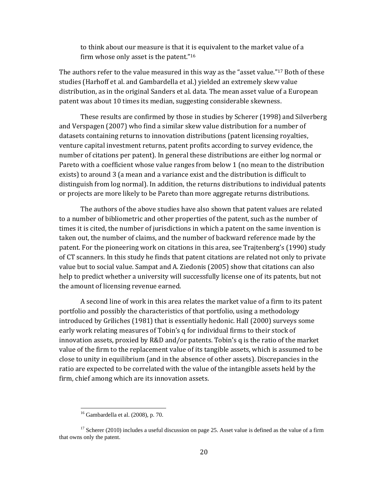to think about our measure is that it is equivalent to the market value of a firm whose only asset is the patent."16

The authors refer to the value measured in this way as the "asset value."17 Both of these studies (Harhoff et al. and Gambardella et al.) yielded an extremely skew value distribution, as in the original Sanders et al. data. The mean asset value of a European patent was about 10 times its median, suggesting considerable skewness.

 These results are confirmed by those in studies by Scherer (1998) and Silverberg and Verspagen (2007) who find a similar skew value distribution for a number of datasets containing returns to innovation distributions (patent licensing royalties, venture capital investment returns, patent profits according to survey evidence, the number of citations per patent). In general these distributions are either log normal or Pareto with a coefficient whose value ranges from below 1 (no mean to the distribution exists) to around 3 (a mean and a variance exist and the distribution is difficult to distinguish from log normal). In addition, the returns distributions to individual patents or projects are more likely to be Pareto than more aggregate returns distributions.

The authors of the above studies have also shown that patent values are related to a number of bibliometric and other properties of the patent, such as the number of times it is cited, the number of jurisdictions in which a patent on the same invention is taken out, the number of claims, and the number of backward reference made by the patent. For the pioneering work on citations in this area, see Trajtenberg's (1990) study of CT scanners. In this study he finds that patent citations are related not only to private value but to social value. Sampat and A. Ziedonis (2005) show that citations can also help to predict whether a university will successfully license one of its patents, but not the amount of licensing revenue earned.

A second line of work in this area relates the market value of a firm to its patent portfolio and possibly the characteristics of that portfolio, using a methodology introduced by Griliches (1981) that is essentially hedonic. Hall (2000) surveys some early work relating measures of Tobin's q for individual firms to their stock of innovation assets, proxied by R&D and/or patents. Tobin's q is the ratio of the market value of the firm to the replacement value of its tangible assets, which is assumed to be close to unity in equilibrium (and in the absence of other assets). Discrepancies in the ratio are expected to be correlated with the value of the intangible assets held by the firm, chief among which are its innovation assets.

  $16$  Gambardella et al. (2008), p. 70.

 $17$  Scherer (2010) includes a useful discussion on page 25. Asset value is defined as the value of a firm that owns only the patent.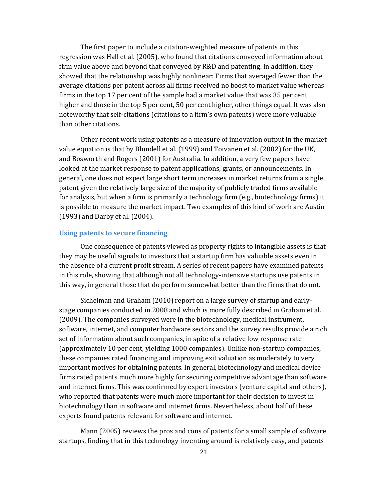The first paper to include a citation-weighted measure of patents in this regression was Hall et al. (2005), who found that citations conveyed information about firm value above and beyond that conveyed by R&D and patenting. In addition, they showed that the relationship was highly nonlinear: Firms that averaged fewer than the average citations per patent across all firms received no boost to market value whereas firms in the top 17 per cent of the sample had a market value that was 35 per cent higher and those in the top 5 per cent, 50 per cent higher, other things equal. It was also noteworthy that self‐citations (citations to a firm's own patents) were more valuable than other citations.

Other recent work using patents as a measure of innovation output in the market value equation is that by Blundell et al. (1999) and Toivanen et al. (2002) for the UK, and Bosworth and Rogers (2001) for Australia. In addition, a very few papers have looked at the market response to patent applications, grants, or announcements. In general, one does not expect large short term increases in market returns from a single patent given the relatively large size of the majority of publicly traded firms available for analysis, but when a firm is primarily a technology firm (e.g., biotechnology firms) it is possible to measure the market impact. Two examples of this kind of work are Austin (1993) and Darby et al. (2004).

### **Using patents to secure financing**

One consequence of patents viewed as property rights to intangible assets is that they may be useful signals to investors that a startup firm has valuable assets even in the absence of a current profit stream. A series of recent papers have examined patents in this role, showing that although not all technology‐intensive startups use patents in this way, in general those that do perform somewhat better than the firms that do not.

Sichelman and Graham (2010) report on a large survey of startup and early‐ stage companies conducted in 2008 and which is more fully described in Graham et al. (2009). The companies surveyed were in the biotechnology, medical instrument, software, internet, and computer hardware sectors and the survey results provide a rich set of information about such companies, in spite of a relative low response rate (approximately 10 per cent, yielding 1000 companies). Unlike non‐startup companies, these companies rated financing and improving exit valuation as moderately to very important motives for obtaining patents. In general, biotechnology and medical device firms rated patents much more highly for securing competitive advantage than software and internet firms. This was confirmed by expert investors (venture capital and others), who reported that patents were much more important for their decision to invest in biotechnology than in software and internet firms. Nevertheless, about half of these experts found patents relevant for software and internet.

Mann (2005) reviews the pros and cons of patents for a small sample of software startups, finding that in this technology inventing around is relatively easy, and patents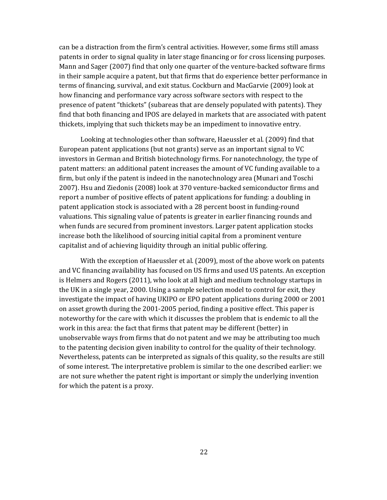can be a distraction from the firm's central activities. However, some firms still amass patents in order to signal quality in later stage financing or for cross licensing purposes. Mann and Sager (2007) find that only one quarter of the venture-backed software firms in their sample acquire a patent, but that firms that do experience better performance in terms of financing, survival, and exit status. Cockburn and MacGarvie (2009) look at how financing and performance vary across software sectors with respect to the presence of patent "thickets" (subareas that are densely populated with patents). They find that both financing and IPOS are delayed in markets that are associated with patent thickets, implying that such thickets may be an impediment to innovative entry.

Looking at technologies other than software, Haeussler et al. (2009) find that European patent applications (but not grants) serve as an important signal to VC investors in German and British biotechnology firms. For nanotechnology, the type of patent matters: an additional patent increases the amount of VC funding available to a firm, but only if the patent is indeed in the nanotechnology area (Munari and Toschi 2007). Hsu and Ziedonis (2008) look at 370 venture‐backed semiconductor firms and report a number of positive effects of patent applications for funding: a doubling in patent application stock is associated with a 28 percent boost in funding‐round valuations. This signaling value of patents is greater in earlier financing rounds and when funds are secured from prominent investors. Larger patent application stocks increase both the likelihood of sourcing initial capital from a prominent venture capitalist and of achieving liquidity through an initial public offering.

With the exception of Haeussler et al. (2009), most of the above work on patents and VC financing availability has focused on US firms and used US patents. An exception is Helmers and Rogers (2011), who look at all high and medium technology startups in the UK in a single year, 2000. Using a sample selection model to control for exit, they investigate the impact of having UKIPO or EPO patent applications during 2000 or 2001 on asset growth during the 2001‐2005 period, finding a positive effect. This paper is noteworthy for the care with which it discusses the problem that is endemic to all the work in this area: the fact that firms that patent may be different (better) in unobservable ways from firms that do not patent and we may be attributing too much to the patenting decision given inability to control for the quality of their technology. Nevertheless, patents can be interpreted as signals of this quality, so the results are still of some interest. The interpretative problem is similar to the one described earlier: we are not sure whether the patent right is important or simply the underlying invention for which the patent is a proxy.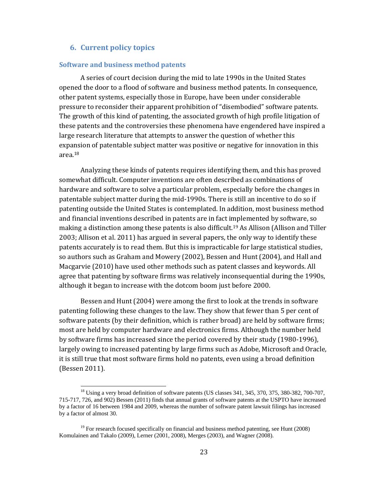### **6. Current policy topics**

#### **Software and business method patents**

A series of court decision during the mid to late 1990s in the United States opened the door to a flood of software and business method patents. In consequence, other patent systems, especially those in Europe, have been under considerable pressure to reconsider their apparent prohibition of "disembodied" software patents. The growth of this kind of patenting, the associated growth of high profile litigation of these patents and the controversies these phenomena have engendered have inspired a large research literature that attempts to answer the question of whether this expansion of patentable subject matter was positive or negative for innovation in this area.18

Analyzing these kinds of patents requires identifying them, and this has proved somewhat difficult. Computer inventions are often described as combinations of hardware and software to solve a particular problem, especially before the changes in patentable subject matter during the mid‐1990s. There is still an incentive to do so if patenting outside the United States is contemplated. In addition, most business method and financial inventions described in patents are in fact implemented by software, so making a distinction among these patents is also difficult.<sup>19</sup> As Allison (Allison and Tiller 2003; Allison et al. 2011) has argued in several papers, the only way to identify these patents accurately is to read them. But this is impracticable for large statistical studies, so authors such as Graham and Mowery (2002), Bessen and Hunt (2004), and Hall and Macgarvie (2010) have used other methods such as patent classes and keywords. All agree that patenting by software firms was relatively inconsequential during the 1990s, although it began to increase with the dotcom boom just before 2000.

Bessen and Hunt (2004) were among the first to look at the trends in software patenting following these changes to the law. They show that fewer than 5 per cent of software patents (by their definition, which is rather broad) are held by software firms; most are held by computer hardware and electronics firms. Although the number held by software firms has increased since the period covered by their study (1980‐1996), largely owing to increased patenting by large firms such as Adobe, Microsoft and Oracle, it is still true that most software firms hold no patents, even using a broad definition (Bessen 2011).

<sup>&</sup>lt;sup>18</sup> Using a very broad definition of software patents (US classes 341, 345, 370, 375, 380-382, 700-707, 715-717, 726, and 902) Bessen (2011) finds that annual grants of software patents at the USPTO have increased by a factor of 16 between 1984 and 2009, whereas the number of software patent lawsuit filings has increased by a factor of almost 30.

<sup>&</sup>lt;sup>19</sup> For research focused specifically on financial and business method patenting, see Hunt (2008) Komulainen and Takalo (2009), Lerner (2001, 2008), Merges (2003), and Wagner (2008).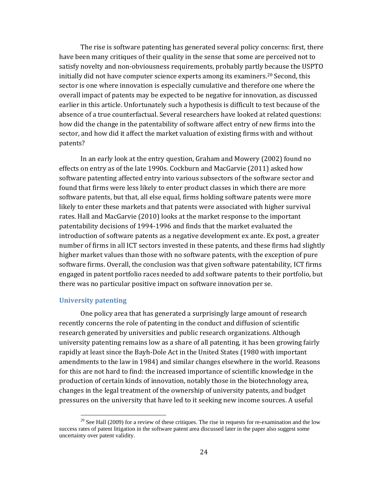The rise is software patenting has generated several policy concerns: first, there have been many critiques of their quality in the sense that some are perceived not to satisfy novelty and non-obviousness requirements, probably partly because the USPTO initially did not have computer science experts among its examiners.<sup>20</sup> Second, this sector is one where innovation is especially cumulative and therefore one where the overall impact of patents may be expected to be negative for innovation, as discussed earlier in this article. Unfortunately such a hypothesis is difficult to test because of the absence of a true counterfactual. Several researchers have looked at related questions: how did the change in the patentability of software affect entry of new firms into the sector, and how did it affect the market valuation of existing firms with and without patents?

In an early look at the entry question, Graham and Mowery (2002) found no effects on entry as of the late 1990s. Cockburn and MacGarvie (2011) asked how software patenting affected entry into various subsectors of the software sector and found that firms were less likely to enter product classes in which there are more software patents, but that, all else equal, firms holding software patents were more likely to enter these markets and that patents were associated with higher survival rates. Hall and MacGarvie (2010) looks at the market response to the important patentability decisions of 1994‐1996 and finds that the market evaluated the introduction of software patents as a negative development ex ante. Ex post, a greater number of firms in all ICT sectors invested in these patents, and these firms had slightly higher market values than those with no software patents, with the exception of pure software firms. Overall, the conclusion was that given software patentability, ICT firms engaged in patent portfolio races needed to add software patents to their portfolio, but there was no particular positive impact on software innovation per se.

### **University patenting**

One policy area that has generated a surprisingly large amount of research recently concerns the role of patenting in the conduct and diffusion of scientific research generated by universities and public research organizations. Although university patenting remains low as a share of all patenting, it has been growing fairly rapidly at least since the Bayh‐Dole Act in the United States (1980 with important amendments to the law in 1984) and similar changes elsewhere in the world. Reasons for this are not hard to find: the increased importance of scientific knowledge in the production of certain kinds of innovation, notably those in the biotechnology area, changes in the legal treatment of the ownership of university patents, and budget pressures on the university that have led to it seeking new income sources. A useful

 $20$  See Hall (2009) for a review of these critiques. The rise in requests for re-examination and the low success rates of patent litigation in the software patent area discussed later in the paper also suggest some uncertainty over patent validity.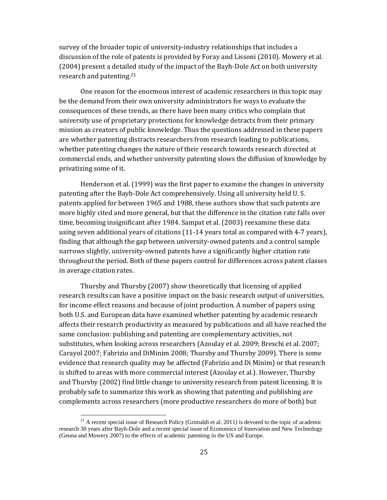survey of the broader topic of university-industry relationships that includes a discussion of the role of patents is provided by Foray and Lissoni (2010). Mowery et al. (2004) present a detailed study of the impact of the Bayh‐Dole Act on both university research and patenting.21

One reason for the enormous interest of academic researchers in this topic may be the demand from their own university administrators for ways to evaluate the consequences of these trends, as there have been many critics who complain that university use of proprietary protections for knowledge detracts from their primary mission as creators of public knowledge. Thus the questions addressed in these papers are whether patenting distracts researchers from research leading to publications, whether patenting changes the nature of their research towards research directed at commercial ends, and whether university patenting slows the diffusion of knowledge by privatizing some of it.

Henderson et al. (1999) was the first paper to examine the changes in university patenting after the Bayh‐Dole Act comprehensively. Using all university held U. S. patents applied for between 1965 and 1988, these authors show that such patents are more highly cited and more general, but that the difference in the citation rate falls over time, becoming insignificant after 1984. Sampat et al. (2003) reexamine these data using seven additional years of citations (11‐14 years total as compared with 4‐7 years), finding that although the gap between university‐owned patents and a control sample narrows slightly, university-owned patents have a significantly higher citation rate throughout the period. Both of these papers control for differences across patent classes in average citation rates.

Thursby and Thursby (2007) show theoretically that licensing of applied research results can have a positive impact on the basic research output of universities, for income effect reasons and because of joint production. A number of papers using both U.S. and European data have examined whether patenting by academic research affects their research productivity as measured by publications and all have reached the same conclusion: publishing and patenting are complementary activities, not substitutes, when looking across researchers (Azoulay et al. 2009; Breschi et al. 2007; Carayol 2007; Fabrizio and DiMinim 2008; Thursby and Thursby 2009). There is some evidence that research quality may be affected (Fabrizio and Di Minim) or that research is shifted to areas with more commercial interest (Azoulay et al.). However, Thursby and Thursby (2002) find little change to university research from patent licensing. It is probably safe to summarize this work as showing that patenting and publishing are complements across researchers (more productive researchers do more of both) but

<sup>&</sup>lt;sup>21</sup> A recent special issue of Research Policy (Grimaldi et al. 2011) is devoted to the topic of academic research 30 years after Bayh-Dole and a recent special issue of Economics of Innovation and New Technology (Geuna and Mowery 2007) to the effects of academic patenting in the US and Europe.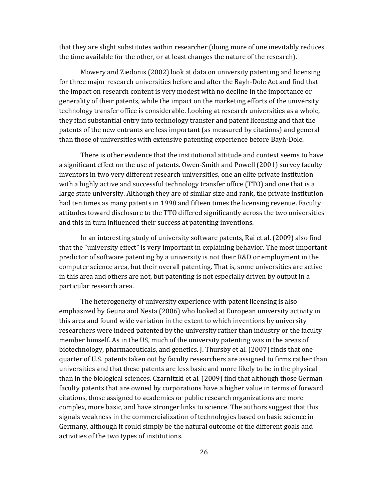that they are slight substitutes within researcher (doing more of one inevitably reduces the time available for the other, or at least changes the nature of the research).

Mowery and Ziedonis (2002) look at data on university patenting and licensing for three major research universities before and after the Bayh‐Dole Act and find that the impact on research content is very modest with no decline in the importance or generality of their patents, while the impact on the marketing efforts of the university technology transfer office is considerable. Looking at research universities as a whole, they find substantial entry into technology transfer and patent licensing and that the patents of the new entrants are less important (as measured by citations) and general than those of universities with extensive patenting experience before Bayh‐Dole.

There is other evidence that the institutional attitude and context seems to have a significant effect on the use of patents. Owen‐Smith and Powell (2001) survey faculty inventors in two very different research universities, one an elite private institution with a highly active and successful technology transfer office (TTO) and one that is a large state university. Although they are of similar size and rank, the private institution had ten times as many patents in 1998 and fifteen times the licensing revenue. Faculty attitudes toward disclosure to the TTO differed significantly across the two universities and this in turn influenced their success at patenting inventions.

In an interesting study of university software patents, Rai et al. (2009) also find that the "university effect" is very important in explaining behavior. The most important predictor of software patenting by a university is not their R&D or employment in the computer science area, but their overall patenting. That is, some universities are active in this area and others are not, but patenting is not especially driven by output in a particular research area.

The heterogeneity of university experience with patent licensing is also emphasized by Geuna and Nesta (2006) who looked at European university activity in this area and found wide variation in the extent to which inventions by university researchers were indeed patented by the university rather than industry or the faculty member himself. As in the US, much of the university patenting was in the areas of biotechnology, pharmaceuticals, and genetics. J. Thursby et al. (2007) finds that one quarter of U.S. patents taken out by faculty researchers are assigned to firms rather than universities and that these patents are less basic and more likely to be in the physical than in the biological sciences. Czarnitzki et al. (2009) find that although those German faculty patents that are owned by corporations have a higher value in terms of forward citations, those assigned to academics or public research organizations are more complex, more basic, and have stronger links to science. The authors suggest that this signals weakness in the commercialization of technologies based on basic science in Germany, although it could simply be the natural outcome of the different goals and activities of the two types of institutions.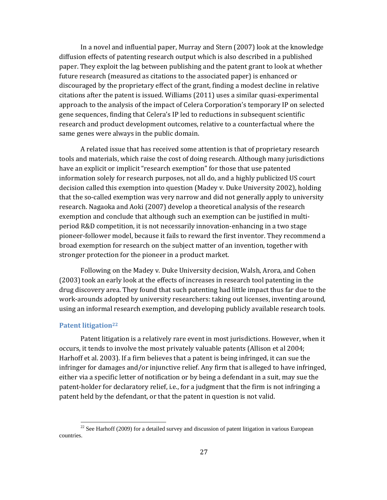In a novel and influential paper, Murray and Stern (2007) look at the knowledge diffusion effects of patenting research output which is also described in a published paper. They exploit the lag between publishing and the patent grant to look at whether future research (measured as citations to the associated paper) is enhanced or discouraged by the proprietary effect of the grant, finding a modest decline in relative citations after the patent is issued. Williams (2011) uses a similar quasi‐experimental approach to the analysis of the impact of Celera Corporation's temporary IP on selected gene sequences, finding that Celera's IP led to reductions in subsequent scientific research and product development outcomes, relative to a counterfactual where the same genes were always in the public domain.

A related issue that has received some attention is that of proprietary research tools and materials, which raise the cost of doing research. Although many jurisdictions have an explicit or implicit "research exemption" for those that use patented information solely for research purposes, not all do, and a highly publicized US court decision called this exemption into question (Madey v. Duke University 2002), holding that the so-called exemption was very narrow and did not generally apply to university research. Nagaoka and Aoki (2007) develop a theoretical analysis of the research exemption and conclude that although such an exemption can be justified in multiperiod R&D competition, it is not necessarily innovation‐enhancing in a two stage pioneer-follower model, because it fails to reward the first inventor. They recommend a broad exemption for research on the subject matter of an invention, together with stronger protection for the pioneer in a product market.

Following on the Madey v. Duke University decision, Walsh, Arora, and Cohen (2003) took an early look at the effects of increases in research tool patenting in the drug discovery area. They found that such patenting had little impact thus far due to the work‐arounds adopted by university researchers: taking out licenses, inventing around, using an informal research exemption, and developing publicly available research tools.

#### **Patent litigation22**

Patent litigation is a relatively rare event in most jurisdictions. However, when it occurs, it tends to involve the most privately valuable patents (Allison et al 2004; Harhoff et al. 2003). If a firm believes that a patent is being infringed, it can sue the infringer for damages and/or injunctive relief. Any firm that is alleged to have infringed, either via a specific letter of notification or by being a defendant in a suit, may sue the patent‐holder for declaratory relief, i.e., for a judgment that the firm is not infringing a patent held by the defendant, or that the patent in question is not valid.

 $22$  See Harhoff (2009) for a detailed survey and discussion of patent litigation in various European countries.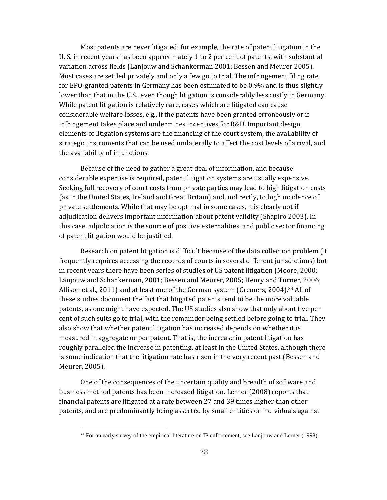Most patents are never litigated; for example, the rate of patent litigation in the U. S. in recent years has been approximately 1 to 2 per cent of patents, with substantial variation across fields (Lanjouw and Schankerman 2001; Bessen and Meurer 2005). Most cases are settled privately and only a few go to trial. The infringement filing rate for EPO‐granted patents in Germany has been estimated to be 0.9% and is thus slightly lower than that in the U.S., even though litigation is considerably less costly in Germany. While patent litigation is relatively rare, cases which are litigated can cause considerable welfare losses, e.g., if the patents have been granted erroneously or if infringement takes place and undermines incentives for R&D. Important design elements of litigation systems are the financing of the court system, the availability of strategic instruments that can be used unilaterally to affect the cost levels of a rival, and the availability of injunctions.

Because of the need to gather a great deal of information, and because considerable expertise is required, patent litigation systems are usually expensive. Seeking full recovery of court costs from private parties may lead to high litigation costs (as in the United States, Ireland and Great Britain) and, indirectly, to high incidence of private settlements. While that may be optimal in some cases, it is clearly not if adjudication delivers important information about patent validity (Shapiro 2003). In this case, adjudication is the source of positive externalities, and public sector financing of patent litigation would be justified.

Research on patent litigation is difficult because of the data collection problem (it frequently requires accessing the records of courts in several different jurisdictions) but in recent years there have been series of studies of US patent litigation (Moore, 2000; Lanjouw and Schankerman, 2001; Bessen and Meurer, 2005; Henry and Turner, 2006; Allison et al., 2011) and at least one of the German system (Cremers, 2004).<sup>23</sup> All of these studies document the fact that litigated patents tend to be the more valuable patents, as one might have expected. The US studies also show that only about five per cent of such suits go to trial, with the remainder being settled before going to trial. They also show that whether patent litigation has increased depends on whether it is measured in aggregate or per patent. That is, the increase in patent litigation has roughly paralleled the increase in patenting, at least in the United States, although there is some indication that the litigation rate has risen in the very recent past (Bessen and Meurer, 2005).

One of the consequences of the uncertain quality and breadth of software and business method patents has been increased litigation. Lerner (2008) reports that financial patents are litigated at a rate between 27 and 39 times higher than other patents, and are predominantly being asserted by small entities or individuals against

 $^{23}$  For an early survey of the empirical literature on IP enforcement, see Lanjouw and Lerner (1998).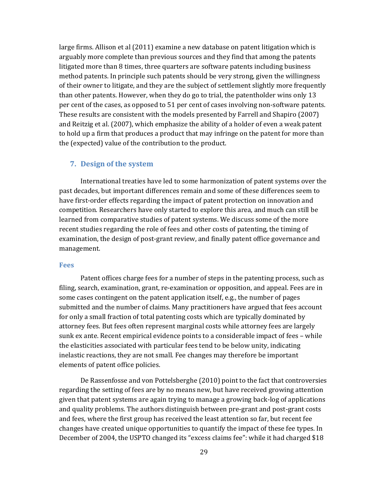large firms. Allison et al (2011) examine a new database on patent litigation which is arguably more complete than previous sources and they find that among the patents litigated more than 8 times, three quarters are software patents including business method patents. In principle such patents should be very strong, given the willingness of their owner to litigate, and they are the subject of settlement slightly more frequently than other patents. However, when they do go to trial, the patentholder wins only 13 per cent of the cases, as opposed to 51 per cent of cases involving non‐software patents. These results are consistent with the models presented by Farrell and Shapiro (2007) and Reitzig et al. (2007), which emphasize the ability of a holder of even a weak patent to hold up a firm that produces a product that may infringe on the patent for more than the (expected) value of the contribution to the product.

### **7. Design of the system**

International treaties have led to some harmonization of patent systems over the past decades, but important differences remain and some of these differences seem to have first-order effects regarding the impact of patent protection on innovation and competition. Researchers have only started to explore this area, and much can still be learned from comparative studies of patent systems. We discuss some of the more recent studies regarding the role of fees and other costs of patenting, the timing of examination, the design of post‐grant review, and finally patent office governance and management.

#### **Fees**

Patent offices charge fees for a number of steps in the patenting process, such as filing, search, examination, grant, re‐examination or opposition, and appeal. Fees are in some cases contingent on the patent application itself, e.g., the number of pages submitted and the number of claims. Many practitioners have argued that fees account for only a small fraction of total patenting costs which are typically dominated by attorney fees. But fees often represent marginal costs while attorney fees are largely sunk ex ante. Recent empirical evidence points to a considerable impact of fees – while the elasticities associated with particular fees tend to be below unity, indicating inelastic reactions, they are not small. Fee changes may therefore be important elements of patent office policies.

De Rassenfosse and von Pottelsberghe (2010) point to the fact that controversies regarding the setting of fees are by no means new, but have received growing attention given that patent systems are again trying to manage a growing back‐log of applications and quality problems. The authors distinguish between pre‐grant and post‐grant costs and fees, where the first group has received the least attention so far, but recent fee changes have created unique opportunities to quantify the impact of these fee types. In December of 2004, the USPTO changed its "excess claims fee": while it had charged \$18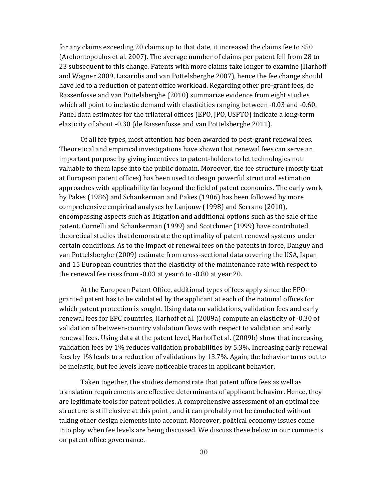for any claims exceeding 20 claims up to that date, it increased the claims fee to \$50 (Archontopoulos et al. 2007). The average number of claims per patent fell from 28 to 23 subsequent to this change. Patents with more claims take longer to examine (Harhoff and Wagner 2009, Lazaridis and van Pottelsberghe 2007), hence the fee change should have led to a reduction of patent office workload. Regarding other pre‐grant fees, de Rassenfosse and van Pottelsberghe (2010) summarize evidence from eight studies which all point to inelastic demand with elasticities ranging between ‐0.03 and ‐0.60. Panel data estimates for the trilateral offices (EPO, JPO, USPTO) indicate a long-term elasticity of about ‐0.30 (de Rassenfosse and van Pottelsberghe 2011).

Of all fee types, most attention has been awarded to post‐grant renewal fees. Theoretical and empirical investigations have shown that renewal fees can serve an important purpose by giving incentives to patent‐holders to let technologies not valuable to them lapse into the public domain. Moreover, the fee structure (mostly that at European patent offices) has been used to design powerful structural estimation approaches with applicability far beyond the field of patent economics. The early work by Pakes (1986) and Schankerman and Pakes (1986) has been followed by more comprehensive empirical analyses by Lanjouw (1998) and Serrano (2010), encompassing aspects such as litigation and additional options such as the sale of the patent. Cornelli and Schankerman (1999) and Scotchmer (1999) have contributed theoretical studies that demonstrate the optimality of patent renewal systems under certain conditions. As to the impact of renewal fees on the patents in force, Danguy and van Pottelsberghe (2009) estimate from cross‐sectional data covering the USA, Japan and 15 European countries that the elasticity of the maintenance rate with respect to the renewal fee rises from ‐0.03 at year 6 to ‐0.80 at year 20.

At the European Patent Office, additional types of fees apply since the EPO‐ granted patent has to be validated by the applicant at each of the national offices for which patent protection is sought. Using data on validations, validation fees and early renewal fees for EPC countries, Harhoff et al. (2009a) compute an elasticity of ‐0.30 of validation of between‐country validation flows with respect to validation and early renewal fees. Using data at the patent level, Harhoff et al. (2009b) show that increasing validation fees by 1% reduces validation probabilities by 5.3%. Increasing early renewal fees by 1% leads to a reduction of validations by 13.7%. Again, the behavior turns out to be inelastic, but fee levels leave noticeable traces in applicant behavior.

Taken together, the studies demonstrate that patent office fees as well as translation requirements are effective determinants of applicant behavior. Hence, they are legitimate tools for patent policies. A comprehensive assessment of an optimal fee structure is still elusive at this point , and it can probably not be conducted without taking other design elements into account. Moreover, political economy issues come into play when fee levels are being discussed. We discuss these below in our comments on patent office governance.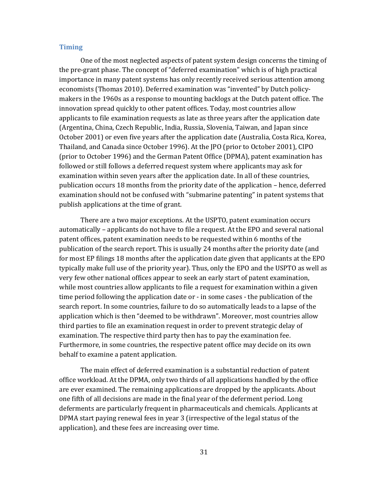#### **Timing**

One of the most neglected aspects of patent system design concerns the timing of the pre‐grant phase. The concept of "deferred examination" which is of high practical importance in many patent systems has only recently received serious attention among economists (Thomas 2010). Deferred examination was "invented" by Dutch policy‐ makers in the 1960s as a response to mounting backlogs at the Dutch patent office. The innovation spread quickly to other patent offices. Today, most countries allow applicants to file examination requests as late as three years after the application date (Argentina, China, Czech Republic, India, Russia, Slovenia, Taiwan, and Japan since October 2001) or even five years after the application date (Australia, Costa Rica, Korea, Thailand, and Canada since October 1996). At the JPO (prior to October 2001), CIPO (prior to October 1996) and the German Patent Office (DPMA), patent examination has followed or still follows a deferred request system where applicants may ask for examination within seven years after the application date. In all of these countries, publication occurs 18 months from the priority date of the application – hence, deferred examination should not be confused with "submarine patenting" in patent systems that publish applications at the time of grant.

There are a two major exceptions. At the USPTO, patent examination occurs automatically – applicants do not have to file a request. At the EPO and several national patent offices, patent examination needs to be requested within 6 months of the publication of the search report. This is usually 24 months after the priority date (and for most EP filings 18 months after the application date given that applicants at the EPO typically make full use of the priority year). Thus, only the EPO and the USPTO as well as very few other national offices appear to seek an early start of patent examination, while most countries allow applicants to file a request for examination within a given time period following the application date or ‐ in some cases ‐ the publication of the search report. In some countries, failure to do so automatically leads to a lapse of the application which is then "deemed to be withdrawn". Moreover, most countries allow third parties to file an examination request in order to prevent strategic delay of examination. The respective third party then has to pay the examination fee. Furthermore, in some countries, the respective patent office may decide on its own behalf to examine a patent application.

The main effect of deferred examination is a substantial reduction of patent office workload. At the DPMA, only two thirds of all applications handled by the office are ever examined. The remaining applications are dropped by the applicants. About one fifth of all decisions are made in the final year of the deferment period. Long deferments are particularly frequent in pharmaceuticals and chemicals. Applicants at DPMA start paying renewal fees in year 3 (irrespective of the legal status of the application), and these fees are increasing over time.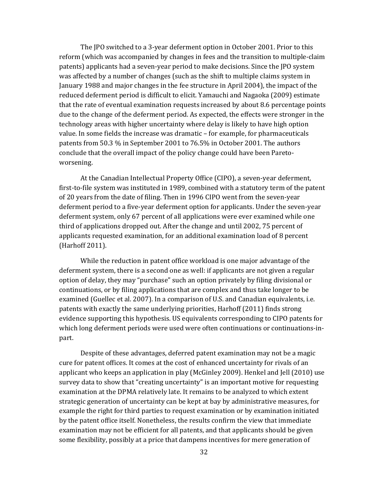The JPO switched to a 3‐year deferment option in October 2001. Prior to this reform (which was accompanied by changes in fees and the transition to multiple‐claim patents) applicants had a seven‐year period to make decisions. Since the JPO system was affected by a number of changes (such as the shift to multiple claims system in January 1988 and major changes in the fee structure in April 2004), the impact of the reduced deferment period is difficult to elicit. Yamauchi and Nagaoka (2009) estimate that the rate of eventual examination requests increased by about 8.6 percentage points due to the change of the deferment period. As expected, the effects were stronger in the technology areas with higher uncertainty where delay is likely to have high option value. In some fields the increase was dramatic – for example, for pharmaceuticals patents from 50.3 % in September 2001 to 76.5% in October 2001. The authors conclude that the overall impact of the policy change could have been Pareto‐ worsening.

At the Canadian Intellectual Property Office (CIPO), a seven‐year deferment, first-to-file system was instituted in 1989, combined with a statutory term of the patent of 20 years from the date of filing. Then in 1996 CIPO went from the seven‐year deferment period to a five‐year deferment option for applicants. Under the seven‐year deferment system, only 67 percent of all applications were ever examined while one third of applications dropped out. After the change and until 2002, 75 percent of applicants requested examination, for an additional examination load of 8 percent (Harhoff 2011).

While the reduction in patent office workload is one major advantage of the deferment system, there is a second one as well: if applicants are not given a regular option of delay, they may "purchase" such an option privately by filing divisional or continuations, or by filing applications that are complex and thus take longer to be examined (Guellec et al. 2007). In a comparison of U.S. and Canadian equivalents, i.e. patents with exactly the same underlying priorities, Harhoff (2011) finds strong evidence supporting this hypothesis. US equivalents corresponding to CIPO patents for which long deferment periods were used were often continuations or continuations-inpart.

Despite of these advantages, deferred patent examination may not be a magic cure for patent offices. It comes at the cost of enhanced uncertainty for rivals of an applicant who keeps an application in play (McGinley 2009). Henkel and Jell (2010) use survey data to show that "creating uncertainty" is an important motive for requesting examination at the DPMA relatively late. It remains to be analyzed to which extent strategic generation of uncertainty can be kept at bay by administrative measures, for example the right for third parties to request examination or by examination initiated by the patent office itself. Nonetheless, the results confirm the view that immediate examination may not be efficient for all patents, and that applicants should be given some flexibility, possibly at a price that dampens incentives for mere generation of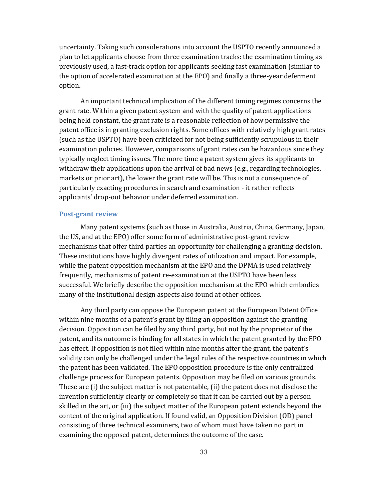uncertainty. Taking such considerations into account the USPTO recently announced a plan to let applicants choose from three examination tracks: the examination timing as previously used, a fast‐track option for applicants seeking fast examination (similar to the option of accelerated examination at the EPO) and finally a three-year deferment option.

An important technical implication of the different timing regimes concerns the grant rate. Within a given patent system and with the quality of patent applications being held constant, the grant rate is a reasonable reflection of how permissive the patent office is in granting exclusion rights. Some offices with relatively high grant rates (such as the USPTO) have been criticized for not being sufficiently scrupulous in their examination policies. However, comparisons of grant rates can be hazardous since they typically neglect timing issues. The more time a patent system gives its applicants to withdraw their applications upon the arrival of bad news (e.g., regarding technologies, markets or prior art), the lower the grant rate will be. This is not a consequence of particularly exacting procedures in search and examination ‐ it rather reflects applicants' drop‐out behavior under deferred examination.

#### **Postgrant review**

Many patent systems (such as those in Australia, Austria, China, Germany, Japan, the US, and at the EPO) offer some form of administrative post‐grant review mechanisms that offer third parties an opportunity for challenging a granting decision. These institutions have highly divergent rates of utilization and impact. For example, while the patent opposition mechanism at the EPO and the DPMA is used relatively frequently, mechanisms of patent re‐examination at the USPTO have been less successful. We briefly describe the opposition mechanism at the EPO which embodies many of the institutional design aspects also found at other offices.

Any third party can oppose the European patent at the European Patent Office within nine months of a patent's grant by filing an opposition against the granting decision. Opposition can be filed by any third party, but not by the proprietor of the patent, and its outcome is binding for all states in which the patent granted by the EPO has effect. If opposition is not filed within nine months after the grant, the patent's validity can only be challenged under the legal rules of the respective countries in which the patent has been validated. The EPO opposition procedure is the only centralized challenge process for European patents. Opposition may be filed on various grounds. These are (i) the subject matter is not patentable, (ii) the patent does not disclose the invention sufficiently clearly or completely so that it can be carried out by a person skilled in the art, or (iii) the subject matter of the European patent extends beyond the content of the original application. If found valid, an Opposition Division (OD) panel consisting of three technical examiners, two of whom must have taken no part in examining the opposed patent, determines the outcome of the case.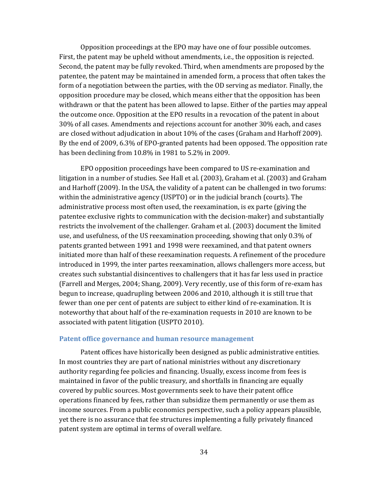Opposition proceedings at the EPO may have one of four possible outcomes. First, the patent may be upheld without amendments, i.e., the opposition is rejected. Second, the patent may be fully revoked. Third, when amendments are proposed by the patentee, the patent may be maintained in amended form, a process that often takes the form of a negotiation between the parties, with the OD serving as mediator. Finally, the opposition procedure may be closed, which means either that the opposition has been withdrawn or that the patent has been allowed to lapse. Either of the parties may appeal the outcome once. Opposition at the EPO results in a revocation of the patent in about 30% of all cases. Amendments and rejections account for another 30% each, and cases are closed without adjudication in about 10% of the cases (Graham and Harhoff 2009). By the end of 2009, 6.3% of EPO‐granted patents had been opposed. The opposition rate has been declining from 10.8% in 1981 to 5.2% in 2009.

EPO opposition proceedings have been compared to US re‐examination and litigation in a number of studies. See Hall et al. (2003), Graham et al. (2003) and Graham and Harhoff (2009). In the USA, the validity of a patent can be challenged in two forums: within the administrative agency (USPTO) or in the judicial branch (courts). The administrative process most often used, the reexamination, is ex parte (giving the patentee exclusive rights to communication with the decision‐maker) and substantially restricts the involvement of the challenger. Graham et al. (2003) document the limited use, and usefulness, of the US reexamination proceeding, showing that only 0.3% of patents granted between 1991 and 1998 were reexamined, and that patent owners initiated more than half of these reexamination requests. A refinement of the procedure introduced in 1999, the inter partes reexamination, allows challengers more access, but creates such substantial disincentives to challengers that it has far less used in practice (Farrell and Merges, 2004; Shang, 2009). Very recently, use of this form of re‐exam has begun to increase, quadrupling between 2006 and 2010, although it is still true that fewer than one per cent of patents are subject to either kind of re‐examination. It is noteworthy that about half of the re‐examination requests in 2010 are known to be associated with patent litigation (USPTO 2010).

#### **Patent office governance and human resource management**

Patent offices have historically been designed as public administrative entities. In most countries they are part of national ministries without any discretionary authority regarding fee policies and financing. Usually, excess income from fees is maintained in favor of the public treasury, and shortfalls in financing are equally covered by public sources. Most governments seek to have their patent office operations financed by fees, rather than subsidize them permanently or use them as income sources. From a public economics perspective, such a policy appears plausible, yet there is no assurance that fee structures implementing a fully privately financed patent system are optimal in terms of overall welfare.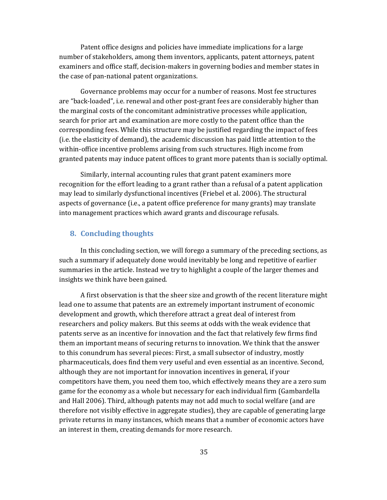Patent office designs and policies have immediate implications for a large number of stakeholders, among them inventors, applicants, patent attorneys, patent examiners and office staff, decision‐makers in governing bodies and member states in the case of pan‐national patent organizations.

Governance problems may occur for a number of reasons. Most fee structures are "back‐loaded", i.e. renewal and other post‐grant fees are considerably higher than the marginal costs of the concomitant administrative processes while application, search for prior art and examination are more costly to the patent office than the corresponding fees. While this structure may be justified regarding the impact of fees (i.e. the elasticity of demand), the academic discussion has paid little attention to the within-office incentive problems arising from such structures. High income from granted patents may induce patent offices to grant more patents than is socially optimal.

Similarly, internal accounting rules that grant patent examiners more recognition for the effort leading to a grant rather than a refusal of a patent application may lead to similarly dysfunctional incentives (Friebel et al. 2006). The structural aspects of governance (i.e., a patent office preference for many grants) may translate into management practices which award grants and discourage refusals.

### **8. Concluding thoughts**

In this concluding section, we will forego a summary of the preceding sections, as such a summary if adequately done would inevitably be long and repetitive of earlier summaries in the article. Instead we try to highlight a couple of the larger themes and insights we think have been gained.

A first observation is that the sheer size and growth of the recent literature might lead one to assume that patents are an extremely important instrument of economic development and growth, which therefore attract a great deal of interest from researchers and policy makers. But this seems at odds with the weak evidence that patents serve as an incentive for innovation and the fact that relatively few firms find them an important means of securing returns to innovation. We think that the answer to this conundrum has several pieces: First, a small subsector of industry, mostly pharmaceuticals, does find them very useful and even essential as an incentive. Second, although they are not important for innovation incentives in general, if your competitors have them, you need them too, which effectively means they are a zero sum game for the economy as a whole but necessary for each individual firm (Gambardella and Hall 2006). Third, although patents may not add much to social welfare (and are therefore not visibly effective in aggregate studies), they are capable of generating large private returns in many instances, which means that a number of economic actors have an interest in them, creating demands for more research.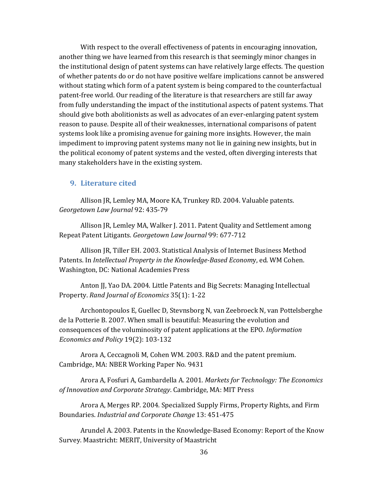With respect to the overall effectiveness of patents in encouraging innovation, another thing we have learned from this research is that seemingly minor changes in the institutional design of patent systems can have relatively large effects. The question of whether patents do or do not have positive welfare implications cannot be answered without stating which form of a patent system is being compared to the counterfactual patent‐free world. Our reading of the literature is that researchers are still far away from fully understanding the impact of the institutional aspects of patent systems. That should give both abolitionists as well as advocates of an ever-enlarging patent system reason to pause. Despite all of their weaknesses, international comparisons of patent systems look like a promising avenue for gaining more insights. However, the main impediment to improving patent systems many not lie in gaining new insights, but in the political economy of patent systems and the vested, often diverging interests that many stakeholders have in the existing system.

#### **9. Literature cited**

Allison JR, Lemley MA, Moore KA, Trunkey RD. 2004. Valuable patents. *Georgetown Law Journal* 92: 435‐79

Allison JR, Lemley MA, Walker J. 2011. Patent Quality and Settlement among Repeat Patent Litigants. *Georgetown Law Journal* 99: 677‐712

Allison JR, Tiller EH. 2003. Statistical Analysis of Internet Business Method Patents. In *Intellectual Property in the KnowledgeBased Econom*y, ed. WM Cohen. Washington, DC: National Academies Press

Anton JJ, Yao DA. 2004. Little Patents and Big Secrets: Managing Intellectual Property. *Rand Journal of Economics* 35(1): 1‐22

Archontopoulos E, Guellec D, Stevnsborg N, van Zeebroeck N, van Pottelsberghe de la Potterie B. 2007. When small is beautiful: Measuring the evolution and consequences of the voluminosity of patent applications at the EPO. *Information Economics and Policy* 19(2): 103‐132

Arora A, Ceccagnoli M, Cohen WM. 2003. R&D and the patent premium. Cambridge, MA: NBER Working Paper No. 9431

Arora A, Fosfuri A, Gambardella A. 2001. *Markets for Technology: The Economics of Innovation and Corporate Strategy*. Cambridge, MA: MIT Press

Arora A, Merges RP. 2004. Specialized Supply Firms, Property Rights, and Firm Boundaries. *Industrial and Corporate Change* 13: 451‐475

Arundel A. 2003. Patents in the Knowledge‐Based Economy: Report of the Know Survey. Maastricht: MERIT, University of Maastricht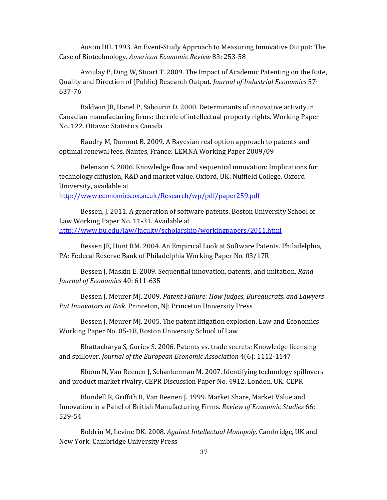Austin DH. 1993. An Event‐Study Approach to Measuring Innovative Output: The Case of Biotechnology. *American Economic Review* 83: 253‐58

Azoulay P, Ding W, Stuart T. 2009. The Impact of Academic Patenting on the Rate, Quality and Direction of (Public) Research Output. *Journal of Industrial Economics* 57: 637‐76

Baldwin JR, Hanel P, Sabourin D. 2000. Determinants of innovative activity in Canadian manufacturing firms: the role of intellectual property rights. Working Paper No. 122. Ottawa: Statistics Canada

Baudry M, Dumont B. 2009. A Bayesian real option approach to patents and optimal renewal fees. Nantes, France: LEMNA Working Paper 2009/09

Belenzon S. 2006. Knowledge flow and sequential innovation: Implications for technology diffusion, R&D and market value. Oxford, UK: Nuffield College, Oxford University, available at

http://www.economics.ox.ac.uk/Research/wp/pdf/paper259.pdf

Bessen, J. 2011. A generation of software patents. Boston University School of Law Working Paper No. 11‐31. Available at http://www.bu.edu/law/faculty/scholarship/workingpapers/2011.html

Bessen JE, Hunt RM. 2004. An Empirical Look at Software Patents. Philadelphia, PA: Federal Reserve Bank of Philadelphia Working Paper No. 03/17R

Bessen J, Maskin E. 2009. Sequential innovation, patents, and imitation. *Rand Journal of Economics* 40: 611‐635

Bessen J, Meurer MJ. 2009. *Patent Failure: How Judges, Bureaucrats, and Lawyers Put Innovators at Risk*. Princeton, NJ: Princeton University Press

Bessen J, Meurer MJ. 2005. The patent litigation explosion. Law and Economics Working Paper No. 05‐18, Boston University School of Law

Bhattacharya S, Guriev S. 2006. Patents vs. trade secrets: Knowledge licensing and spillover. *Journal of the European Economic Association* 4(6): 1112‐1147

Bloom N, Van Reenen J, Schankerman M. 2007. Identifying technology spillovers and product market rivalry. CEPR Discussion Paper No. 4912. London, UK: CEPR

Blundell R, Griffith R, Van Reenen J. 1999. Market Share, Market Value and Innovation in a Panel of British Manufacturing Firms. *Review of Economic Studies* 66: 529‐54

Boldrin M, Levine DK. 2008. *Against Intellectual Monopoly*. Cambridge, UK and New York: Cambridge University Press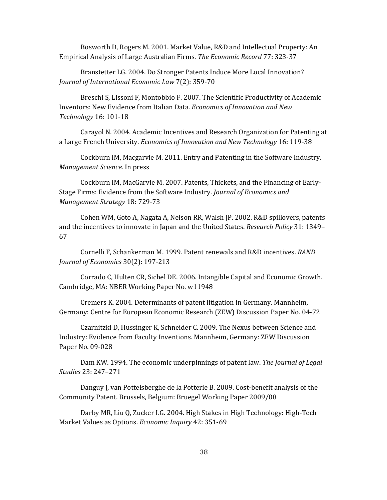Bosworth D, Rogers M. 2001. Market Value, R&D and Intellectual Property: An Empirical Analysis of Large Australian Firms. *The Economic Record* 77: 323‐37

Branstetter LG. 2004. Do Stronger Patents Induce More Local Innovation? *Journal of International Economic Law* 7(2): 359‐70

Breschi S, Lissoni F, Montobbio F. 2007. The Scientific Productivity of Academic Inventors: New Evidence from Italian Data. *Economics of Innovation and New Technology* 16: 101‐18

Carayol N. 2004. Academic Incentives and Research Organization for Patenting at a Large French University. *Economics of Innovation and New Technology* 16: 119‐38

Cockburn IM, Macgarvie M. 2011. Entry and Patenting in the Software Industry. *Management Science*. In press

Cockburn IM, MacGarvie M. 2007. Patents, Thickets, and the Financing of Early‐ Stage Firms: Evidence from the Software Industry. *Journal of Economics and Management Strategy* 18: 729‐73

Cohen WM, Goto A, Nagata A, Nelson RR, Walsh JP. 2002. R&D spillovers, patents and the incentives to innovate in Japan and the United States. *Research Policy* 31: 1349– 67

Cornelli F, Schankerman M. 1999. Patent renewals and R&D incentives. *RAND Journal of Economics* 30(2): 197‐213

Corrado C, Hulten CR, Sichel DE. 2006. Intangible Capital and Economic Growth. Cambridge, MA: NBER Working Paper No. w11948

Cremers K. 2004. Determinants of patent litigation in Germany. Mannheim, Germany: Centre for European Economic Research (ZEW) Discussion Paper No. 04‐72

Czarnitzki D, Hussinger K, Schneider C. 2009. The Nexus between Science and Industry: Evidence from Faculty Inventions. Mannheim, Germany: ZEW Discussion Paper No. 09‐028

Dam KW. 1994. The economic underpinnings of patent law. *The Journal of Legal Studies* 23: 247–271

Danguy J, van Pottelsberghe de la Potterie B. 2009. Cost-benefit analysis of the Community Patent. Brussels, Belgium: Bruegel Working Paper 2009/08

Darby MR, Liu Q, Zucker LG. 2004. High Stakes in High Technology: High‐Tech Market Values as Options. *Economic Inquiry* 42: 351‐69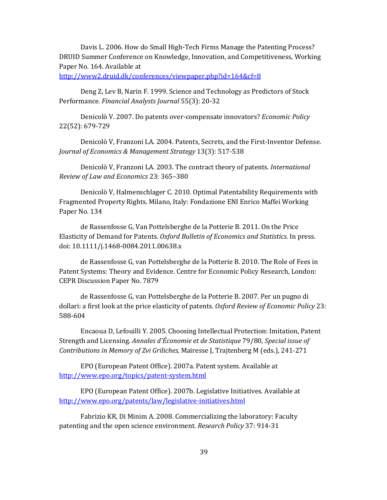Davis L. 2006. How do Small High‐Tech Firms Manage the Patenting Process? DRUID Summer Conference on Knowledge, Innovation, and Competitiveness, Working Paper No. 164. Available at

http://www2.druid.dk/conferences/viewpaper.php?id=164&cf=8

Deng Z, Lev B, Narin F. 1999. Science and Technology as Predictors of Stock Performance. *Financial Analysts Journal* 55(3): 20‐32

Denicolò V. 2007. Do patents over‐compensate innovators? *Economic Policy* 22(52): 679‐729

Denicolò V, Franzoni LA. 2004. Patents, Secrets, and the First‐Inventor Defense. *Journal of Economics & Management Strategy* 13(3): 517‐538

Denicolò V, Franzoni LA. 2003. The contract theory of patents. *International Review of Law and Economics* 23: 365–380

Denicolò V, Halmenschlager C. 2010. Optimal Patentability Requirements with Fragmented Property Rights. Milano, Italy: Fondazione ENI Enrico Maffei Working Paper No. 134

de Rassenfosse G, Van Pottelsberghe de la Potterie B. 2011. On the Price Elasticity of Demand for Patents. *Oxford Bulletin of Economics and Statistics*. In press. doi: 10.1111/j.1468‐0084.2011.00638.x

de Rassenfosse G, van Pottelsberghe de la Potterie B. 2010. The Role of Fees in Patent Systems: Theory and Evidence. Centre for Economic Policy Research, London: CEPR Discussion Paper No. 7879

de Rassenfosse G, van Pottelsberghe de la Potterie B. 2007. Per un pugno di dollari: a first look at the price elasticity of patents. *Oxford Review of Economic Policy* 23: 588‐604

Encaoua D, Lefouilli Y. 2005. Choosing Intellectual Protection: Imitation, Patent Strength and Licensing. *Annales d'Économie et de Statistique* 79/80*, Special issue of Contributions in Memory of Zvi Griliches,* Mairesse J, Trajtenberg M (eds.), 241‐271

EPO (European Patent Office). 2007a. Patent system. Available at http://www.epo.org/topics/patent‐system.html

EPO (European Patent Office). 2007b. Legislative Initiatives. Available at http://www.epo.org/patents/law/legislative-initiatives.html

Fabrizio KR, Di Minim A. 2008. Commercializing the laboratory: Faculty patenting and the open science environment. *Research Policy* 37: 914‐31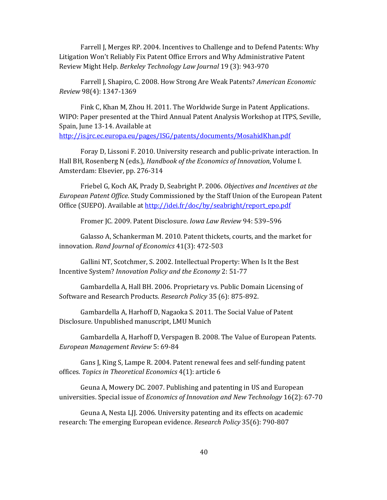Farrell J, Merges RP. 2004. Incentives to Challenge and to Defend Patents: Why Litigation Won't Reliably Fix Patent Office Errors and Why Administrative Patent Review Might Help. *Berkeley Technology Law Journal* 19 (3): 943‐970

Farrell J, Shapiro, C. 2008. How Strong Are Weak Patents? *American Economic Review* 98(4): 1347‐1369

Fink C, Khan M, Zhou H. 2011. The Worldwide Surge in Patent Applications. WIPO: Paper presented at the Third Annual Patent Analysis Workshop at ITPS, Seville, Spain, June 13‐14. Available at http://is.jrc.ec.europa.eu/pages/ISG/patents/documents/MosahidKhan.pdf

Foray D, Lissoni F. 2010. University research and public‐private interaction. In Hall BH, Rosenberg N (eds.), *Handbook of the Economics of Innovation*, Volume I. Amsterdam: Elsevier, pp. 276‐314

Friebel G, Koch AK, Prady D, Seabright P. 2006. *Objectives and Incentives at the European Patent Office*. Study Commissioned by the Staff Union of the European Patent Office (SUEPO). Available at http://idei.fr/doc/by/seabright/report\_epo.pdf

Fromer JC. 2009. Patent Disclosure. *Iowa Law Review* 94: 539–596

Galasso A, Schankerman M. 2010. Patent thickets, courts, and the market for innovation. *Rand Journal of Economics* 41(3): 472‐503

Gallini NT, Scotchmer, S. 2002. Intellectual Property: When Is It the Best Incentive System? *Innovation Policy and the Economy* 2: 51‐77

Gambardella A, Hall BH. 2006. Proprietary vs. Public Domain Licensing of Software and Research Products. *Research Policy* 35 (6): 875‐892.

Gambardella A, Harhoff D, Nagaoka S. 2011. The Social Value of Patent Disclosure. Unpublished manuscript, LMU Munich

Gambardella A, Harhoff D, Verspagen B. 2008. The Value of European Patents. *European Management Review* 5: 69‐84

Gans J, King S, Lampe R. 2004. Patent renewal fees and self‐funding patent offices*. Topics in Theoretical Economics* 4(1): article 6

Geuna A, Mowery DC. 2007. Publishing and patenting in US and European universities. Special issue of *Economics of Innovation and New Technology* 16(2): 67‐70

Geuna A, Nesta LJJ. 2006. University patenting and its effects on academic research: The emerging European evidence. *Research Policy* 35(6): 790‐807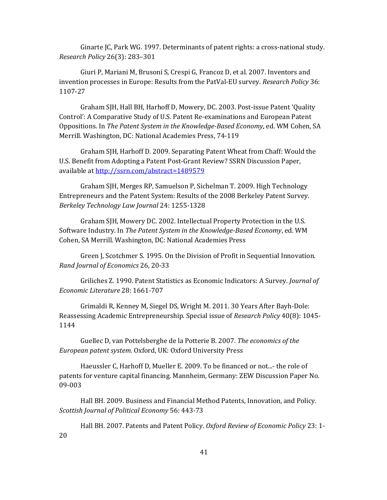Ginarte JC, Park WG. 1997. Determinants of patent rights: a cross-national study. *Research Policy* 26(3): 283–301

Giuri P, Mariani M, Brusoni S, Crespi G, Francoz D, et al. 2007. Inventors and invention processes in Europe: Results from the PatVal‐EU survey. *Research Policy* 36: 1107‐27

Graham SJH, Hall BH, Harhoff D, Mowery, DC. 2003. Post‐issue Patent 'Quality Control': A Comparative Study of U.S. Patent Re‐examinations and European Patent Oppositions. In *The Patent System in the KnowledgeBased Economy*, ed. WM Cohen, SA Merrill. Washington, DC: National Academies Press, 74‐119

Graham SJH, Harhoff D. 2009. Separating Patent Wheat from Chaff: Would the U.S. Benefit from Adopting a Patent Post‐Grant Review? SSRN Discussion Paper, available at http://ssrn.com/abstract=1489579

Graham SJH, Merges RP, Samuelson P, Sichelman T. 2009. High Technology Entrepreneurs and the Patent System: Results of the 2008 Berkeley Patent Survey. *Berkeley Technology Law Journal* 24: 1255‐1328

Graham SJH, Mowery DC. 2002. Intellectual Property Protection in the U.S. Software Industry. In *The Patent System in the KnowledgeBased Economy*, ed. WM Cohen, SA Merrill. Washington, DC: National Academies Press

Green J, Scotchmer S. 1995. On the Division of Profit in Sequential Innovation. *Rand Journal of Economics* 26, 20‐33

Griliches Z. 1990. Patent Statistics as Economic Indicators: A Survey. *Journal of Economic Literature* 28: 1661‐707

Grimaldi R, Kenney M, Siegel DS, Wright M. 2011. 30 Years After Bayh‐Dole: Reassessing Academic Entrepreneurship. Special issue of *Research Policy* 40(8): 1045‐ 1144

Guellec D, van Pottelsberghe de la Potterie B. 2007. *The economics of the European patent system.* Oxford, UK: Oxford University Press

Haeussler C, Harhoff D, Mueller E. 2009. To be financed or not...- the role of patents for venture capital financing. Mannheim, Germany: ZEW Discussion Paper No. 09‐003

Hall BH. 2009. Business and Financial Method Patents, Innovation, and Policy. *Scottish Journal of Political Economy* 56: 443‐73

Hall BH. 2007. Patents and Patent Policy. *Oxford Review of Economic Policy* 23: 1‐ 20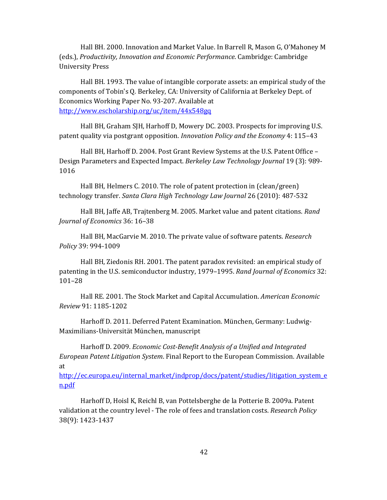Hall BH. 2000. Innovation and Market Value. In Barrell R, Mason G, O'Mahoney M (eds.), *Productivity, Innovation and Economic Performance*. Cambridge: Cambridge University Press

Hall BH. 1993. The value of intangible corporate assets: an empirical study of the components of Tobin's Q. Berkeley, CA: University of California at Berkeley Dept. of Economics Working Paper No. 93‐207. Available at http://www.escholarship.org/uc/item/44x548gq

Hall BH, Graham SJH, Harhoff D, Mowery DC. 2003. Prospects for improving U.S. patent quality via postgrant opposition. *Innovation Policy and the Economy* 4: 115–43

Hall BH, Harhoff D. 2004. Post Grant Review Systems at the U.S. Patent Office – Design Parameters and Expected Impact. *Berkeley Law Technology Journal* 19 (3): 989‐ 1016

Hall BH, Helmers C. 2010. The role of patent protection in (clean/green) technology transfer. *Santa Clara High Technology Law Journal* 26 (2010): 487‐532

Hall BH, Jaffe AB, Trajtenberg M. 2005. Market value and patent citations. *Rand Journal of Economics* 36: 16–38

Hall BH, MacGarvie M. 2010. The private value of software patents. *Research Policy* 39: 994‐1009

Hall BH, Ziedonis RH. 2001. The patent paradox revisited: an empirical study of patenting in the U.S. semiconductor industry, 1979–1995. *Rand Journal of Economics* 32: 101–28

Hall RE. 2001. The Stock Market and Capital Accumulation. *American Economic Review* 91: 1185‐1202

Harhoff D. 2011. Deferred Patent Examination. München, Germany: Ludwig‐ Maximilians‐Universität München, manuscript

Harhoff D. 2009. *Economic CostBenefit Analysis of a Unified and Integrated European Patent Litigation System*. Final Report to the European Commission. Available at

http://ec.europa.eu/internal\_market/indprop/docs/patent/studies/litigation\_system\_e n.pdf

Harhoff D, Hoisl K, Reichl B, van Pottelsberghe de la Potterie B. 2009a. Patent validation at the country level ‐ The role of fees and translation costs. *Research Policy* 38(9): 1423‐1437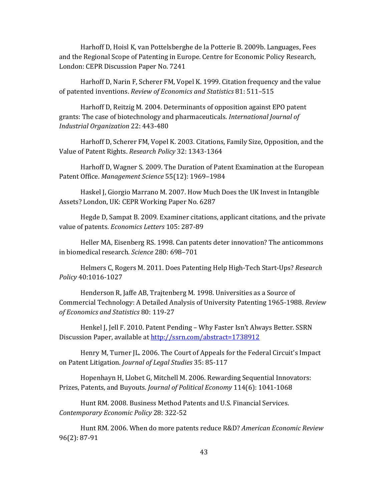Harhoff D, Hoisl K, van Pottelsberghe de la Potterie B. 2009b. Languages, Fees and the Regional Scope of Patenting in Europe. Centre for Economic Policy Research, London: CEPR Discussion Paper No. 7241

Harhoff D, Narin F, Scherer FM, Vopel K. 1999. Citation frequency and the value of patented inventions. *Review of Economics and Statistics* 81: 511–515

Harhoff D, Reitzig M. 2004. Determinants of opposition against EPO patent grants: The case of biotechnology and pharmaceuticals*. International Journal of Industrial Organization* 22: 443‐480

Harhoff D, Scherer FM, Vopel K. 2003. Citations, Family Size, Opposition, and the Value of Patent Rights. *Research Policy* 32: 1343‐1364

Harhoff D, Wagner S. 2009. The Duration of Patent Examination at the European Patent Office. *Management Science* 55(12): 1969–1984

Haskel J, Giorgio Marrano M. 2007. How Much Does the UK Invest in Intangible Assets? London, UK: CEPR Working Paper No. 6287

Hegde D, Sampat B. 2009. Examiner citations, applicant citations, and the private value of patents. *Economics Letters* 105: 287‐89

Heller MA, Eisenberg RS. 1998. Can patents deter innovation? The anticommons in biomedical research. *Science* 280: 698–701

Helmers C, Rogers M. 2011. Does Patenting Help High‐Tech Start‐Ups? *Research Policy* 40:1016‐1027

Henderson R, Jaffe AB, Trajtenberg M. 1998. Universities as a Source of Commercial Technology: A Detailed Analysis of University Patenting 1965‐1988. *Review of Economics and Statistics* 80: 119‐27

Henkel J, Jell F. 2010. Patent Pending – Why Faster Isn't Always Better. SSRN Discussion Paper, available at http://ssrn.com/abstract=1738912

Henry M, Turner JL. 2006. The Court of Appeals for the Federal Circuit's Impact on Patent Litigation. *Journal of Legal Studies* 35: 85‐117

Hopenhayn H, Llobet G, Mitchell M. 2006. Rewarding Sequential Innovators: Prizes, Patents, and Buyouts*. Journal of Political Economy* 114(6): 1041‐1068

Hunt RM. 2008. Business Method Patents and U.S. Financial Services. *Contemporary Economic Policy* 28: 322‐52

Hunt RM. 2006. When do more patents reduce R&D? *American Economic Review* 96(2): 87‐91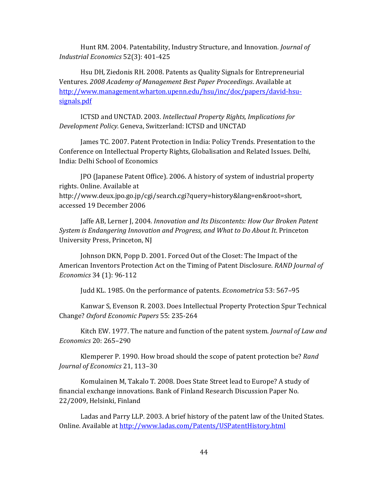Hunt RM. 2004. Patentability, Industry Structure, and Innovation. *Journal of Industrial Economics* 52(3): 401‐425

Hsu DH, Ziedonis RH. 2008. Patents as Quality Signals for Entrepreneurial Ventures. *2008 Academy of Management Best Paper Proceedings*. Available at http://www.management.wharton.upenn.edu/hsu/inc/doc/papers/david‐hsu‐ signals.pdf

ICTSD and UNCTAD. 2003. *Intellectual Property Rights, Implications for Development Policy.* Geneva, Switzerland: ICTSD and UNCTAD

James TC. 2007. Patent Protection in India: Policy Trends. Presentation to the Conference on Intellectual Property Rights, Globalisation and Related Issues. Delhi, India: Delhi School of Economics

JPO (Japanese Patent Office). 2006. A history of system of industrial property rights. Online. Available at http://www.deux.jpo.go.jp/cgi/search.cgi?query=history&lang=en&root=short, accessed 19 December 2006

Jaffe AB, Lerner J, 2004. *Innovation and Its Discontents: How Our Broken Patent System is Endangering Innovation and Progress, and What to Do About It*. Princeton University Press, Princeton, NJ

Johnson DKN, Popp D. 2001. Forced Out of the Closet: The Impact of the American Inventors Protection Act on the Timing of Patent Disclosure. *RAND Journal of Economics* 34 (1): 96‐112

Judd KL. 1985. On the performance of patents. *Econometrica* 53: 567–95

Kanwar S, Evenson R. 2003. Does Intellectual Property Protection Spur Technical Change? *Oxford Economic Papers* 55: 235‐264

Kitch EW. 1977. The nature and function of the patent system. *Journal of Law and Economics* 20: 265–290

Klemperer P. 1990. How broad should the scope of patent protection be? *Rand Journal of Economics* 21, 113–30

Komulainen M, Takalo T. 2008. Does State Street lead to Europe? A study of financial exchange innovations. Bank of Finland Research Discussion Paper No. 22/2009, Helsinki, Finland

Ladas and Parry LLP. 2003. A brief history of the patent law of the United States. Online. Available at http://www.ladas.com/Patents/USPatentHistory.html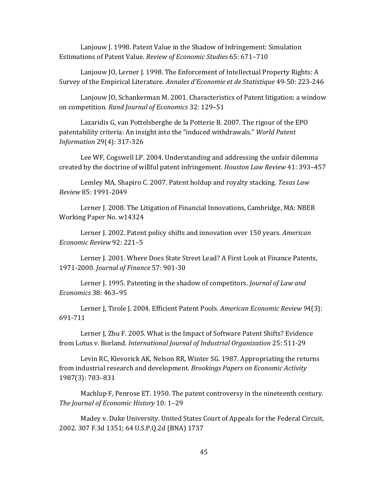Lanjouw J. 1998. Patent Value in the Shadow of Infringement: Simulation Estimations of Patent Value. *Review of Economic Studies* 65: 671–710

Lanjouw JO, Lerner J. 1998. The Enforcement of Intellectual Property Rights: A Survey of the Empirical Literature. *Annales d'Economie et de Statistique* 49‐50: 223‐246

Lanjouw JO, Schankerman M. 2001. Characteristics of Patent litigation: a window on competition. *Rand Journal of Economics* 32: 129–51

Lazaridis G, van Pottelsberghe de la Potterie B. 2007. The rigour of the EPO patentability criteria: An insight into the "induced withdrawals." *World Patent Information* 29(4): 317‐326

Lee WF, Cogswell LP. 2004. Understanding and addressing the unfair dilemma created by the doctrine of willful patent infringement. *Houston Law Review* 41: 393–457

Lemley MA, Shapiro C. 2007. Patent holdup and royalty stacking. *Texas Law Review* 85: 1991‐2049

Lerner J. 2008. The Litigation of Financial Innovations, Cambridge, MA: NBER Working Paper No. w14324

Lerner J. 2002. Patent policy shifts and innovation over 150 years. *American Economic Review* 92: 221–5

Lerner J. 2001. Where Does State Street Lead? A First Look at Finance Patents, 1971‐2000. *Journal of Finance* 57: 901‐30

Lerner J. 1995. Patenting in the shadow of competitors. *Journal of Law and Economics* 38: 463–95

Lerner J, Tirole J. 2004. Efficient Patent Pools. *American Economic Review 9*4(3): 691‐711

Lerner J, Zhu F. 2005. What is the Impact of Software Patent Shifts? Evidence from Lotus v. Borland. *International Journal of Industrial Organization* 25: 511‐29

Levin RC, Klevorick AK, Nelson RR, Winter SG. 1987. Appropriating the returns from industrial research and development. *Brookings Papers on Economic Activity* 1987(3): 783–831

Machlup F, Penrose ET. 1950. The patent controversy in the nineteenth century. *The Journal of Economic History* 10: 1–29

Madey v. Duke University. United States Court of Appeals for the Federal Circuit, 2002. 307 F.3d 1351; 64 U.S.P.Q.2d (BNA) 1737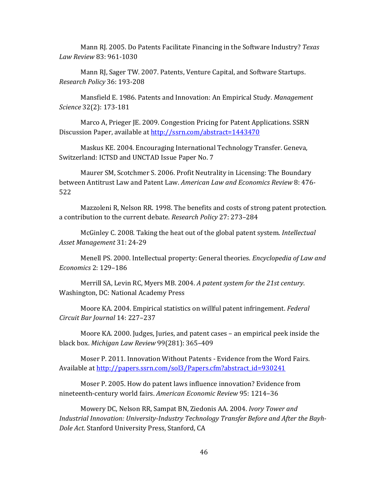Mann RJ. 2005. Do Patents Facilitate Financing in the Software Industry? *Texas Law Review* 83: 961‐1030

Mann RJ, Sager TW. 2007. Patents, Venture Capital, and Software Startups. *Research Policy* 36: 193‐208

Mansfield E. 1986. Patents and Innovation: An Empirical Study. *Management Science* 32(2): 173‐181

Marco A, Prieger JE. 2009. Congestion Pricing for Patent Applications. SSRN Discussion Paper, available at http://ssrn.com/abstract=1443470

Maskus KE. 2004. Encouraging International Technology Transfer. Geneva, Switzerland: ICTSD and UNCTAD Issue Paper No. 7

Maurer SM, Scotchmer S. 2006. Profit Neutrality in Licensing: The Boundary between Antitrust Law and Patent Law. *American Law and Economics Review* 8: 476‐ 522

Mazzoleni R, Nelson RR. 1998. The benefits and costs of strong patent protection. a contribution to the current debate. *Research Policy* 27: 273–284

McGinley C. 2008. Taking the heat out of the global patent system. *Intellectual Asset Management* 31: 24‐29

Menell PS. 2000. Intellectual property: General theories. *Encyclopedia of Law and Economics* 2: 129–186

Merrill SA, Levin RC, Myers MB. 2004. *A patent system for the 21st century*. Washington, DC: National Academy Press

Moore KA. 2004. Empirical statistics on willful patent infringement. *Federal Circuit Bar Journal* 14: 227–237

Moore KA. 2000. Judges, Juries, and patent cases – an empirical peek inside the black box. *Michigan Law Review* 99(281): 365–409

Moser P. 2011. Innovation Without Patents ‐ Evidence from the Word Fairs. Available at http://papers.ssrn.com/sol3/Papers.cfm?abstract\_id=930241

Moser P. 2005. How do patent laws influence innovation? Evidence from nineteenth‐century world fairs. *American Economic Review* 95: 1214–36

Mowery DC, Nelson RR, Sampat BN, Ziedonis AA. 2004. *Ivory Tower and Industrial Innovation: UniversityIndustry Technology Transfer Before and After the Bayh-Dole Act*. Stanford University Press, Stanford, CA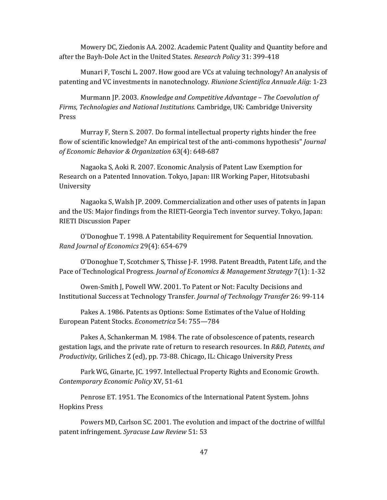Mowery DC, Ziedonis AA. 2002. Academic Patent Quality and Quantity before and after the Bayh‐Dole Act in the United States. *Research Policy* 31: 399‐418

Munari F, Toschi L. 2007. How good are VCs at valuing technology? An analysis of patenting and VC investments in nanotechnology. *Riunione Scientifica Annuale Aiig*: 1‐23

Murmann JP. 2003. *Knowledge and Competitive Advantage – The Coevolution of Firms, Technologies and National Institutions.* Cambridge, UK: Cambridge University Press

Murray F, Stern S. 2007. Do formal intellectual property rights hinder the free flow of scientific knowledge? An empirical test of the anti‐commons hypothesis" *Journal of Economic Behavior & Organization* 63(4): 648‐687

Nagaoka S, Aoki R. 2007. Economic Analysis of Patent Law Exemption for Research on a Patented Innovation. Tokyo, Japan: IIR Working Paper, Hitotsubashi University

Nagaoka S, Walsh JP. 2009. Commercialization and other uses of patents in Japan and the US: Major findings from the RIETI‐Georgia Tech inventor survey. Tokyo, Japan: RIETI Discussion Paper

O'Donoghue T. 1998. A Patentability Requirement for Sequential Innovation. *Rand Journal of Economics* 29(4): 654‐679

O'Donoghue T, Scotchmer S, Thisse J‐F. 1998. Patent Breadth, Patent Life, and the Pace of Technological Progress. *Journal of Economics & Management Strategy* 7(1): 1‐32

Owen‐Smith J, Powell WW. 2001. To Patent or Not: Faculty Decisions and Institutional Success at Technology Transfer. *Journal of Technology Transfer* 26: 99‐114

Pakes A. 1986. Patents as Options: Some Estimates of the Value of Holding European Patent Stocks. *Econometrica* 54: 755—784

Pakes A, Schankerman M. 1984. The rate of obsolescence of patents, research gestation lags, and the private rate of return to research resources. In *R&D, Patents, and Productivity*, Griliches Z (ed), pp. 73‐88. Chicago, IL: Chicago University Press

Park WG, Ginarte, JC. 1997. Intellectual Property Rights and Economic Growth. *Contemporary Economic Policy* XV, 51‐61

Penrose ET. 1951. The Economics of the International Patent System. Johns Hopkins Press

Powers MD, Carlson SC. 2001. The evolution and impact of the doctrine of willful patent infringement. *Syracuse Law Review* 51: 53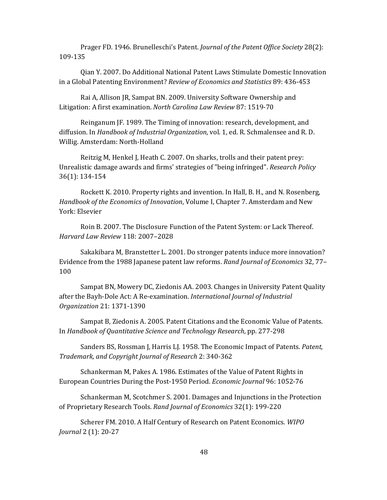Prager FD. 1946. Brunelleschi's Patent. *Journal of the Patent Office Society* 28(2): 109‐135

Qian Y. 2007. Do Additional National Patent Laws Stimulate Domestic Innovation in a Global Patenting Environment? *Review of Economics and Statistics* 89: 436‐453

Rai A, Allison JR, Sampat BN. 2009. University Software Ownership and Litigation: A first examination. *North Carolina Law Review* 87: 1519‐70

Reinganum JF. 1989. The Timing of innovation: research, development, and diffusion. In *Handbook of Industrial Organization*, vol. 1, ed. R. Schmalensee and R. D. Willig. Amsterdam: North‐Holland

Reitzig M, Henkel J, Heath C. 2007. On sharks, trolls and their patent prey: Unrealistic damage awards and firms' strategies of "being infringed". *Research Policy* 36(1): 134‐154

Rockett K. 2010. Property rights and invention. In Hall, B. H., and N. Rosenberg, *Handbook of the Economics of Innovation*, Volume I, Chapter 7. Amsterdam and New York: Elsevier

Roin B. 2007. The Disclosure Function of the Patent System: or Lack Thereof. *Harvard Law Review* 118: 2007–2028

Sakakibara M, Branstetter L. 2001. Do stronger patents induce more innovation? Evidence from the 1988 Japanese patent law reforms. *Rand Journal of Economics* 32, 77– 100

Sampat BN, Mowery DC, Ziedonis AA. 2003. Changes in University Patent Quality after the Bayh‐Dole Act: A Re‐examination. *International Journal of Industrial Organization* 21: 1371‐1390

Sampat B, Ziedonis A. 2005. Patent Citations and the Economic Value of Patents. In *Handbook of Quantitative Science and Technology Research*, pp. 277‐298

Sanders BS, Rossman J, Harris LJ. 1958. The Economic Impact of Patents. *Patent, Trademark, and Copyright Journal of Research* 2: 340‐362

Schankerman M, Pakes A. 1986. Estimates of the Value of Patent Rights in European Countries During the Post‐1950 Period. *Economic Journal* 96: 1052‐76

Schankerman M, Scotchmer S. 2001. Damages and Injunctions in the Protection of Proprietary Research Tools. *Rand Journal of Economics* 32(1): 199‐220

Scherer FM. 2010. A Half Century of Research on Patent Economics. *WIPO Journal* 2 (1): 20‐27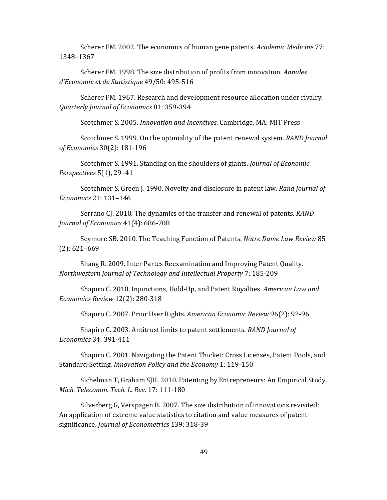Scherer FM. 2002. The economics of human gene patents. *Academic Medicine* 77: 1348–1367

Scherer FM. 1998. The size distribution of profits from innovation. *Annales d'Economie et de Statistique* 49/50: 495‐516

Scherer FM. 1967. Research and development resource allocation under rivalry. *Quarterly Journal of Economics* 81: 359‐394

Scotchmer S. 2005. *Innovation and Incentives*. Cambridge, MA: MIT Press

Scotchmer S. 1999. On the optimality of the patent renewal system. *RAND Journal of Economics* 30(2): 181‐196

Scotchmer S. 1991. Standing on the shoulders of giants. *Journal of Economic Perspectives* 5(1), 29–41

Scotchmer S, Green J. 1990. Novelty and disclosure in patent law. *Rand Journal of Economics* 21: 131–146

Serrano CJ. 2010. The dynamics of the transfer and renewal of patents. *RAND Journal of Economics* 41(4): 686‐708

Seymore SB. 2010. The Teaching Function of Patents. *Notre Dame Law Review* 85 (2): 621–669

Shang R. 2009. Inter Partes Reexamination and Improving Patent Quality. *Northwestern Journal of Technology and Intellectual Property* 7: 185‐209

Shapiro C. 2010. Injunctions, Hold‐Up, and Patent Royalties. *American Law and Economics Review* 12(2): 280‐318

Shapiro C. 2007. Prior User Rights. *American Economic Review* 96(2): 92‐96

Shapiro C. 2003. Antitrust limits to patent settlements. *RAND Journal of Economics* 34: 391‐411

Shapiro C. 2001. Navigating the Patent Thicket: Cross Licenses, Patent Pools, and Standard‐Setting. *Innovation Policy and the Economy* 1: 119‐150

Sichelman T, Graham SJH. 2010. Patenting by Entrepreneurs: An Empirical Study. *Mich. Telecomm. Tech. L. Rev.* 17: 111‐180

Silverberg G, Verspagen B. 2007. The size distribution of innovations revisited: An application of extreme value statistics to citation and value measures of patent significance. *Journal of Econometrics* 139: 318‐39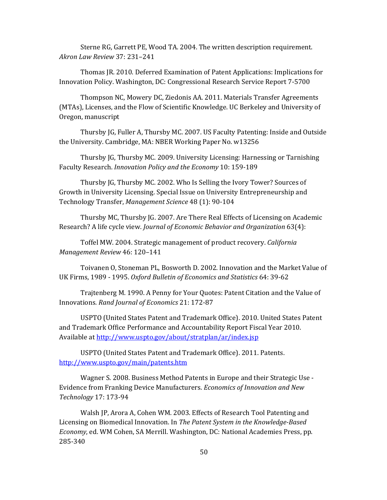Sterne RG, Garrett PE, Wood TA. 2004. The written description requirement. *Akron Law Review* 37: 231–241

Thomas JR. 2010. Deferred Examination of Patent Applications: Implications for Innovation Policy. Washington, DC: Congressional Research Service Report 7‐5700

Thompson NC, Mowery DC, Ziedonis AA. 2011. Materials Transfer Agreements (MTAs), Licenses, and the Flow of Scientific Knowledge. UC Berkeley and University of Oregon, manuscript

Thursby JG, Fuller A, Thursby MC. 2007. US Faculty Patenting: Inside and Outside the University. Cambridge, MA: NBER Working Paper No. w13256

Thursby JG, Thursby MC. 2009. University Licensing: Harnessing or Tarnishing Faculty Research. *Innovation Policy and the Economy* 10: 159‐189

Thursby JG, Thursby MC. 2002. Who Is Selling the Ivory Tower? Sources of Growth in University Licensing. Special Issue on University Entrepreneurship and Technology Transfer, *Management Science* 48 (1): 90‐104

Thursby MC, Thursby JG. 2007. Are There Real Effects of Licensing on Academic Research? A life cycle view. *Journal of Economic Behavior and Organization* 63(4):

Toffel MW. 2004. Strategic management of product recovery. *California Management Review* 46: 120–141

Toivanen O, Stoneman PL, Bosworth D. 2002. Innovation and the Market Value of UK Firms, 1989 ‐ 1995. *Oxford Bulletin of Economics and Statistics* 64: 39‐62

Trajtenberg M. 1990. A Penny for Your Quotes: Patent Citation and the Value of Innovations*. Rand Journal of Economics* 21: 172‐87

USPTO (United States Patent and Trademark Office). 2010. United States Patent and Trademark Office Performance and Accountability Report Fiscal Year 2010. Available at http://www.uspto.gov/about/stratplan/ar/index.jsp

USPTO (United States Patent and Trademark Office). 2011. Patents. http://www.uspto.gov/main/patents.htm

Wagner S. 2008. Business Method Patents in Europe and their Strategic Use ‐ Evidence from Franking Device Manufacturers. *Economics of Innovation and New Technology* 17: 173‐94

Walsh JP, Arora A, Cohen WM. 2003. Effects of Research Tool Patenting and Licensing on Biomedical Innovation. In *The Patent System in the KnowledgeBased Economy*, ed. WM Cohen, SA Merrill. Washington, DC: National Academies Press, pp. 285‐340